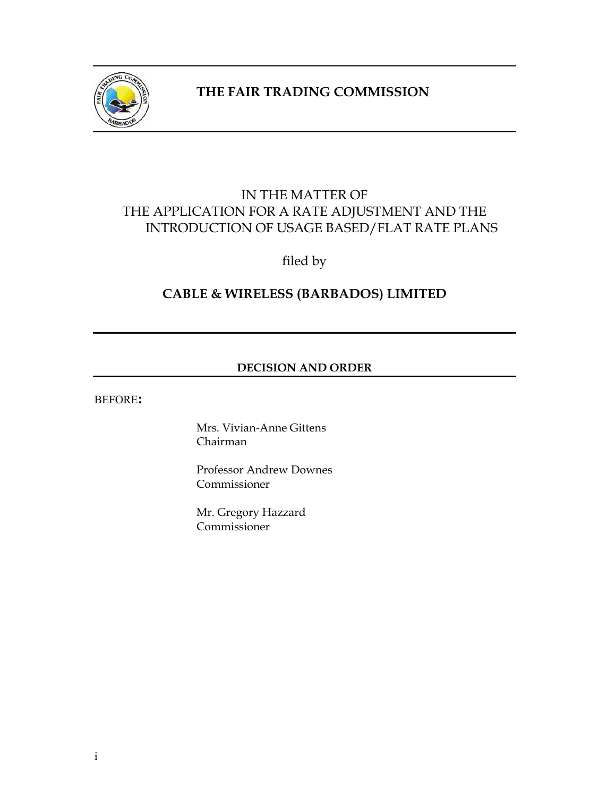

## **THE FAIR TRADING COMMISSION**

## IN THE MATTER OF THE APPLICATION FOR A RATE ADJUSTMENT AND THE INTRODUCTION OF USAGE BASED/FLAT RATE PLANS

filed by

## **CABLE & WIRELESS (BARBADOS) LIMITED**

## **DECISION AND ORDER**

BEFORE**:**

Mrs. Vivian-Anne Gittens Chairman

Professor Andrew Downes Commissioner

Mr. Gregory Hazzard Commissioner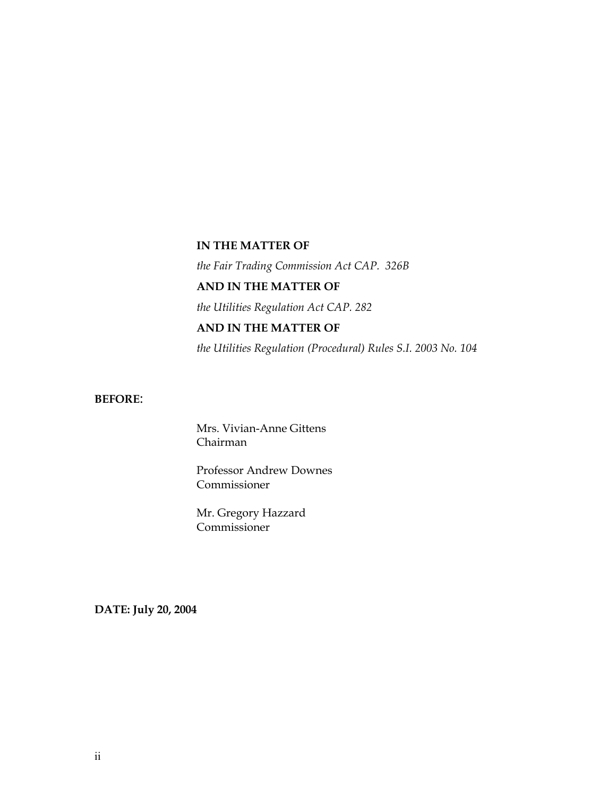### **IN THE MATTER OF**

*the Fair Trading Commission Act CAP. 326B* 

## **AND IN THE MATTER OF**

*the Utilities Regulation Act CAP. 282* 

## **AND IN THE MATTER OF**

*the Utilities Regulation (Procedural) Rules S.I. 2003 No. 104* 

## **BEFORE**:

Mrs. Vivian-Anne Gittens Chairman

Professor Andrew Downes Commissioner

Mr. Gregory Hazzard Commissioner

**DATE: July 20, 2004**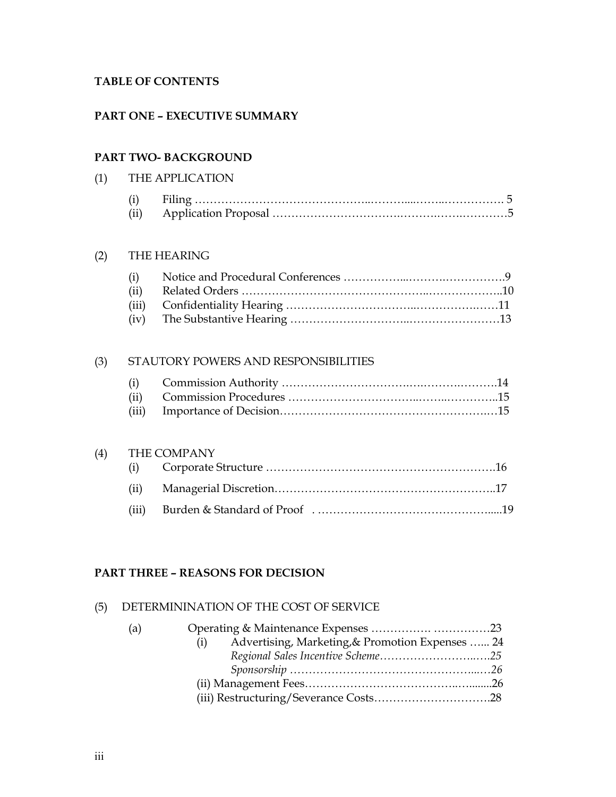### **TABLE OF CONTENTS**

### **PART ONE – EXECUTIVE SUMMARY**

## **PART TWO- BACKGROUND**

## (1) THE APPLICATION

| (i)  |  |
|------|--|
| (ii) |  |

### (2) THE HEARING

## (3) STAUTORY POWERS AND RESPONSIBILITIES

### (4) THE COMPANY

### **PART THREE – REASONS FOR DECISION**

### (5) DETERMININATION OF THE COST OF SERVICE

| (a) |                                                         |  |
|-----|---------------------------------------------------------|--|
|     | Advertising, Marketing, & Promotion Expenses  24<br>(i) |  |
|     |                                                         |  |
|     |                                                         |  |
|     |                                                         |  |
|     |                                                         |  |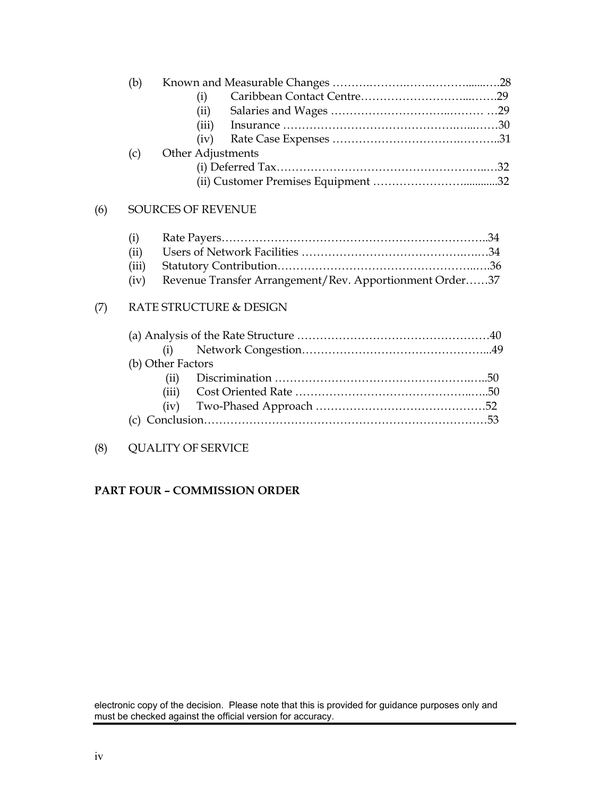## (6) SOURCES OF REVENUE

| (i)  |                                                              |  |
|------|--------------------------------------------------------------|--|
| (ii) |                                                              |  |
|      |                                                              |  |
|      | (iv) Revenue Transfer Arrangement/Rev. Apportionment Order37 |  |

## (7) RATE STRUCTURE & DESIGN

| (b) Other Factors |  |  |  |
|-------------------|--|--|--|
|                   |  |  |  |
|                   |  |  |  |
|                   |  |  |  |
|                   |  |  |  |

## (8) QUALITY OF SERVICE

## **PART FOUR – COMMISSION ORDER**

electronic copy of the decision. Please note that this is provided for guidance purposes only and must be checked against the official version for accuracy.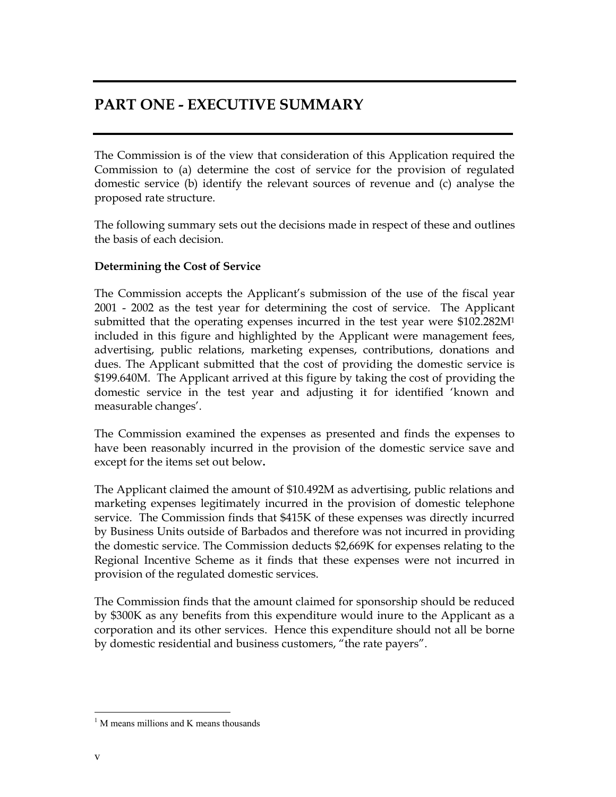## **PART ONE - EXECUTIVE SUMMARY**

The Commission is of the view that consideration of this Application required the Commission to (a) determine the cost of service for the provision of regulated domestic service (b) identify the relevant sources of revenue and (c) analyse the proposed rate structure.

The following summary sets out the decisions made in respect of these and outlines the basis of each decision.

### **Determining the Cost of Service**

The Commission accepts the Applicant's submission of the use of the fiscal year 2001 - 2002 as the test year for determining the cost of service. The Applicant submitted that the operating expenses incurred in the test year were \$102.282M<sup>1</sup> included in this figure and highlighted by the Applicant were management fees, advertising, public relations, marketing expenses, contributions, donations and dues. The Applicant submitted that the cost of providing the domestic service is \$199.640M. The Applicant arrived at this figure by taking the cost of providing the domestic service in the test year and adjusting it for identified 'known and measurable changes'.

The Commission examined the expenses as presented and finds the expenses to have been reasonably incurred in the provision of the domestic service save and except for the items set out below**.**

The Applicant claimed the amount of \$10.492M as advertising, public relations and marketing expenses legitimately incurred in the provision of domestic telephone service. The Commission finds that \$415K of these expenses was directly incurred by Business Units outside of Barbados and therefore was not incurred in providing the domestic service. The Commission deducts \$2,669K for expenses relating to the Regional Incentive Scheme as it finds that these expenses were not incurred in provision of the regulated domestic services.

The Commission finds that the amount claimed for sponsorship should be reduced by \$300K as any benefits from this expenditure would inure to the Applicant as a corporation and its other services. Hence this expenditure should not all be borne by domestic residential and business customers, "the rate payers".

<sup>&</sup>lt;sup>1</sup> M means millions and K means thousands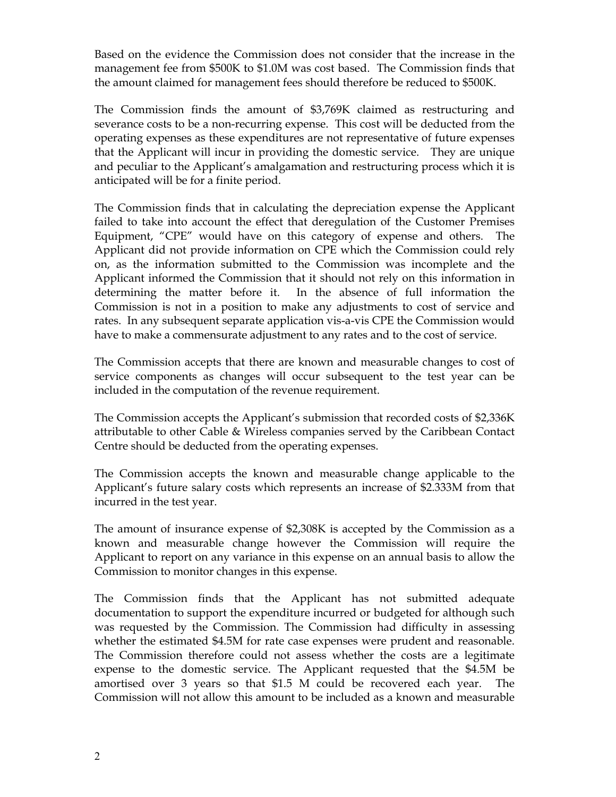Based on the evidence the Commission does not consider that the increase in the management fee from \$500K to \$1.0M was cost based. The Commission finds that the amount claimed for management fees should therefore be reduced to \$500K.

The Commission finds the amount of \$3,769K claimed as restructuring and severance costs to be a non-recurring expense. This cost will be deducted from the operating expenses as these expenditures are not representative of future expenses that the Applicant will incur in providing the domestic service. They are unique and peculiar to the Applicant's amalgamation and restructuring process which it is anticipated will be for a finite period.

The Commission finds that in calculating the depreciation expense the Applicant failed to take into account the effect that deregulation of the Customer Premises Equipment, "CPE" would have on this category of expense and others. The Applicant did not provide information on CPE which the Commission could rely on, as the information submitted to the Commission was incomplete and the Applicant informed the Commission that it should not rely on this information in determining the matter before it. In the absence of full information the Commission is not in a position to make any adjustments to cost of service and rates. In any subsequent separate application vis-a-vis CPE the Commission would have to make a commensurate adjustment to any rates and to the cost of service.

The Commission accepts that there are known and measurable changes to cost of service components as changes will occur subsequent to the test year can be included in the computation of the revenue requirement.

The Commission accepts the Applicant's submission that recorded costs of \$2,336K attributable to other Cable & Wireless companies served by the Caribbean Contact Centre should be deducted from the operating expenses.

The Commission accepts the known and measurable change applicable to the Applicant's future salary costs which represents an increase of \$2.333M from that incurred in the test year.

The amount of insurance expense of \$2,308K is accepted by the Commission as a known and measurable change however the Commission will require the Applicant to report on any variance in this expense on an annual basis to allow the Commission to monitor changes in this expense.

The Commission finds that the Applicant has not submitted adequate documentation to support the expenditure incurred or budgeted for although such was requested by the Commission. The Commission had difficulty in assessing whether the estimated \$4.5M for rate case expenses were prudent and reasonable. The Commission therefore could not assess whether the costs are a legitimate expense to the domestic service. The Applicant requested that the \$4.5M be amortised over 3 years so that \$1.5 M could be recovered each year. The Commission will not allow this amount to be included as a known and measurable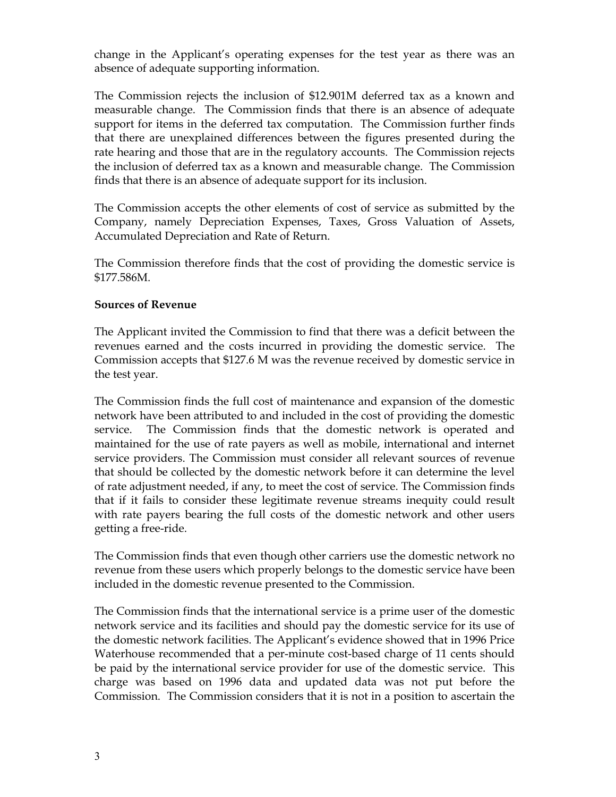change in the Applicant's operating expenses for the test year as there was an absence of adequate supporting information.

The Commission rejects the inclusion of \$12.901M deferred tax as a known and measurable change. The Commission finds that there is an absence of adequate support for items in the deferred tax computation. The Commission further finds that there are unexplained differences between the figures presented during the rate hearing and those that are in the regulatory accounts. The Commission rejects the inclusion of deferred tax as a known and measurable change. The Commission finds that there is an absence of adequate support for its inclusion.

The Commission accepts the other elements of cost of service as submitted by the Company, namely Depreciation Expenses, Taxes, Gross Valuation of Assets, Accumulated Depreciation and Rate of Return.

The Commission therefore finds that the cost of providing the domestic service is \$177.586M.

### **Sources of Revenue**

The Applicant invited the Commission to find that there was a deficit between the revenues earned and the costs incurred in providing the domestic service. The Commission accepts that \$127.6 M was the revenue received by domestic service in the test year.

The Commission finds the full cost of maintenance and expansion of the domestic network have been attributed to and included in the cost of providing the domestic service. The Commission finds that the domestic network is operated and maintained for the use of rate payers as well as mobile, international and internet service providers. The Commission must consider all relevant sources of revenue that should be collected by the domestic network before it can determine the level of rate adjustment needed, if any, to meet the cost of service. The Commission finds that if it fails to consider these legitimate revenue streams inequity could result with rate payers bearing the full costs of the domestic network and other users getting a free-ride.

The Commission finds that even though other carriers use the domestic network no revenue from these users which properly belongs to the domestic service have been included in the domestic revenue presented to the Commission.

The Commission finds that the international service is a prime user of the domestic network service and its facilities and should pay the domestic service for its use of the domestic network facilities. The Applicant's evidence showed that in 1996 Price Waterhouse recommended that a per-minute cost-based charge of 11 cents should be paid by the international service provider for use of the domestic service. This charge was based on 1996 data and updated data was not put before the Commission. The Commission considers that it is not in a position to ascertain the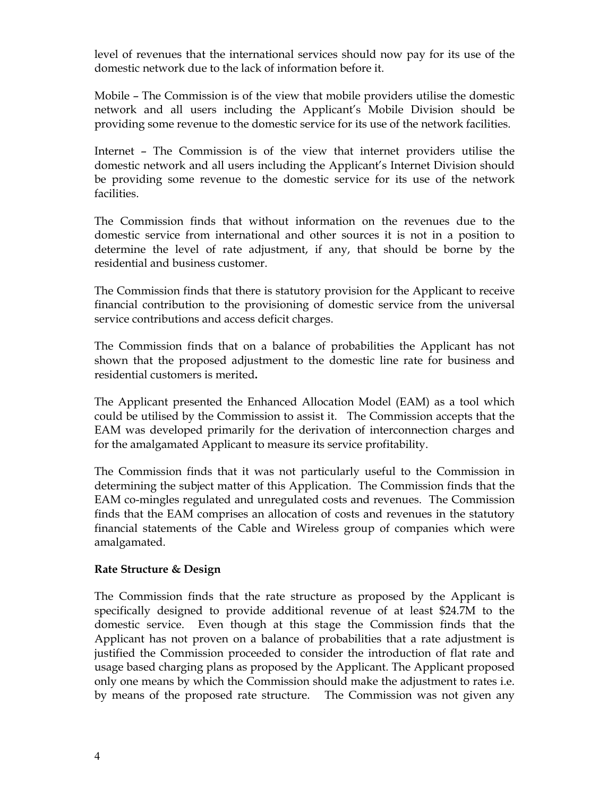level of revenues that the international services should now pay for its use of the domestic network due to the lack of information before it.

Mobile – The Commission is of the view that mobile providers utilise the domestic network and all users including the Applicant's Mobile Division should be providing some revenue to the domestic service for its use of the network facilities.

Internet – The Commission is of the view that internet providers utilise the domestic network and all users including the Applicant's Internet Division should be providing some revenue to the domestic service for its use of the network facilities.

The Commission finds that without information on the revenues due to the domestic service from international and other sources it is not in a position to determine the level of rate adjustment, if any, that should be borne by the residential and business customer.

The Commission finds that there is statutory provision for the Applicant to receive financial contribution to the provisioning of domestic service from the universal service contributions and access deficit charges.

The Commission finds that on a balance of probabilities the Applicant has not shown that the proposed adjustment to the domestic line rate for business and residential customers is merited**.**

The Applicant presented the Enhanced Allocation Model (EAM) as a tool which could be utilised by the Commission to assist it. The Commission accepts that the EAM was developed primarily for the derivation of interconnection charges and for the amalgamated Applicant to measure its service profitability.

The Commission finds that it was not particularly useful to the Commission in determining the subject matter of this Application. The Commission finds that the EAM co-mingles regulated and unregulated costs and revenues. The Commission finds that the EAM comprises an allocation of costs and revenues in the statutory financial statements of the Cable and Wireless group of companies which were amalgamated.

### **Rate Structure & Design**

The Commission finds that the rate structure as proposed by the Applicant is specifically designed to provide additional revenue of at least \$24.7M to the domestic service. Even though at this stage the Commission finds that the Applicant has not proven on a balance of probabilities that a rate adjustment is justified the Commission proceeded to consider the introduction of flat rate and usage based charging plans as proposed by the Applicant. The Applicant proposed only one means by which the Commission should make the adjustment to rates i.e. by means of the proposed rate structure. The Commission was not given any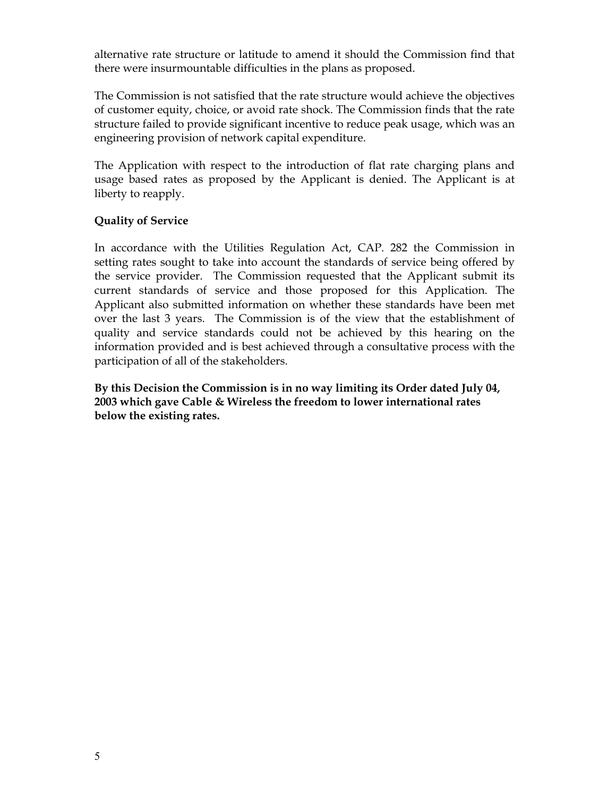alternative rate structure or latitude to amend it should the Commission find that there were insurmountable difficulties in the plans as proposed.

The Commission is not satisfied that the rate structure would achieve the objectives of customer equity, choice, or avoid rate shock. The Commission finds that the rate structure failed to provide significant incentive to reduce peak usage, which was an engineering provision of network capital expenditure.

The Application with respect to the introduction of flat rate charging plans and usage based rates as proposed by the Applicant is denied. The Applicant is at liberty to reapply.

## **Quality of Service**

In accordance with the Utilities Regulation Act, CAP. 282 the Commission in setting rates sought to take into account the standards of service being offered by the service provider. The Commission requested that the Applicant submit its current standards of service and those proposed for this Application. The Applicant also submitted information on whether these standards have been met over the last 3 years. The Commission is of the view that the establishment of quality and service standards could not be achieved by this hearing on the information provided and is best achieved through a consultative process with the participation of all of the stakeholders.

**By this Decision the Commission is in no way limiting its Order dated July 04, 2003 which gave Cable & Wireless the freedom to lower international rates below the existing rates.**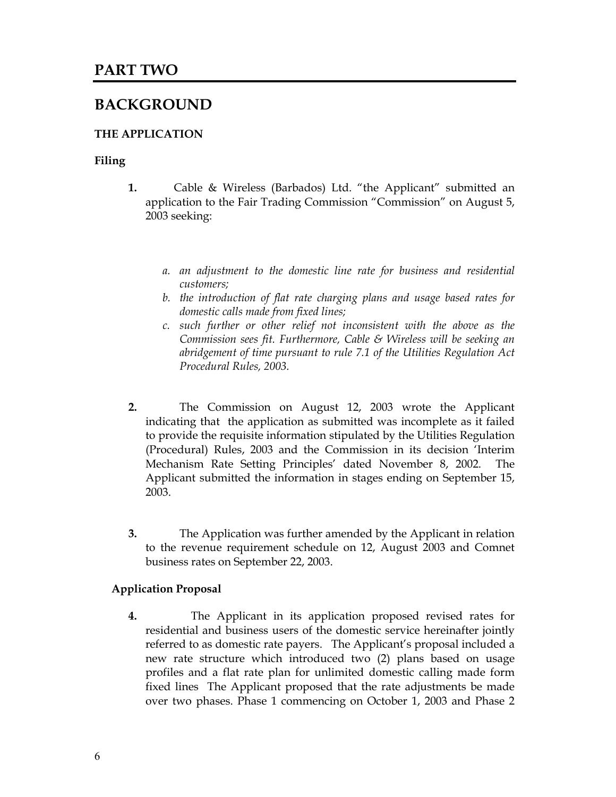## **BACKGROUND**

## **THE APPLICATION**

### **Filing**

- **1.** Cable & Wireless (Barbados) Ltd. "the Applicant" submitted an application to the Fair Trading Commission "Commission" on August 5, 2003 seeking:
	- *a. an adjustment to the domestic line rate for business and residential customers;*
	- *b. the introduction of flat rate charging plans and usage based rates for domestic calls made from fixed lines;*
	- *c. such further or other relief not inconsistent with the above as the Commission sees fit. Furthermore, Cable & Wireless will be seeking an abridgement of time pursuant to rule 7.1 of the Utilities Regulation Act Procedural Rules, 2003.*
- **2.** The Commission on August 12, 2003 wrote the Applicant indicating that the application as submitted was incomplete as it failed to provide the requisite information stipulated by the Utilities Regulation (Procedural) Rules, 2003 and the Commission in its decision 'Interim Mechanism Rate Setting Principles' dated November 8, 2002. The Applicant submitted the information in stages ending on September 15, 2003.
- **3.** The Application was further amended by the Applicant in relation to the revenue requirement schedule on 12, August 2003 and Comnet business rates on September 22, 2003.

### **Application Proposal**

**4.** The Applicant in its application proposed revised rates for residential and business users of the domestic service hereinafter jointly referred to as domestic rate payers. The Applicant's proposal included a new rate structure which introduced two (2) plans based on usage profiles and a flat rate plan for unlimited domestic calling made form fixed lines The Applicant proposed that the rate adjustments be made over two phases. Phase 1 commencing on October 1, 2003 and Phase 2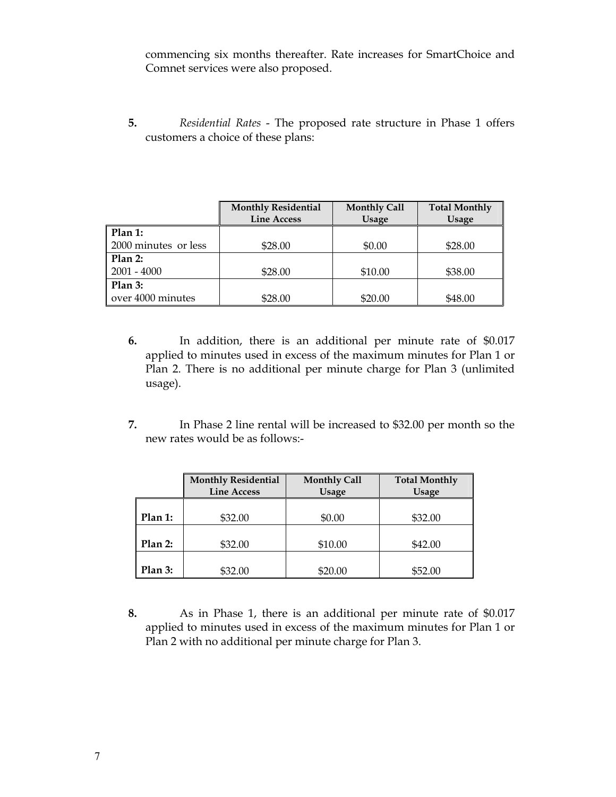commencing six months thereafter. Rate increases for SmartChoice and Comnet services were also proposed.

**5.** *Residential Rates* - The proposed rate structure in Phase 1 offers customers a choice of these plans:

|                      | <b>Monthly Residential</b><br><b>Line Access</b> | <b>Monthly Call</b><br><b>Usage</b> | <b>Total Monthly</b><br><b>Usage</b> |
|----------------------|--------------------------------------------------|-------------------------------------|--------------------------------------|
| Plan 1:              |                                                  |                                     |                                      |
| 2000 minutes or less | \$28.00                                          | \$0.00                              | \$28.00                              |
| Plan 2:              |                                                  |                                     |                                      |
| $2001 - 4000$        | \$28.00                                          | \$10.00                             | \$38.00                              |
| Plan 3:              |                                                  |                                     |                                      |
| over 4000 minutes    | \$28.00                                          | \$20.00                             | \$48.00                              |

- **6.** In addition, there is an additional per minute rate of \$0.017 applied to minutes used in excess of the maximum minutes for Plan 1 or Plan 2. There is no additional per minute charge for Plan 3 (unlimited usage).
- **7.** In Phase 2 line rental will be increased to \$32.00 per month so the new rates would be as follows:-

|           | <b>Monthly Residential</b><br><b>Line Access</b> | <b>Monthly Call</b><br><b>Usage</b> | <b>Total Monthly</b><br><b>Usage</b> |
|-----------|--------------------------------------------------|-------------------------------------|--------------------------------------|
| Plan 1:   | \$32.00                                          | \$0.00                              | \$32.00                              |
| $Plan2$ : | \$32.00                                          | \$10.00                             | \$42.00                              |
| Plan 3:   | \$32.00                                          | \$20.00                             | \$52.00                              |

**8.** As in Phase 1, there is an additional per minute rate of \$0.017 applied to minutes used in excess of the maximum minutes for Plan 1 or Plan 2 with no additional per minute charge for Plan 3.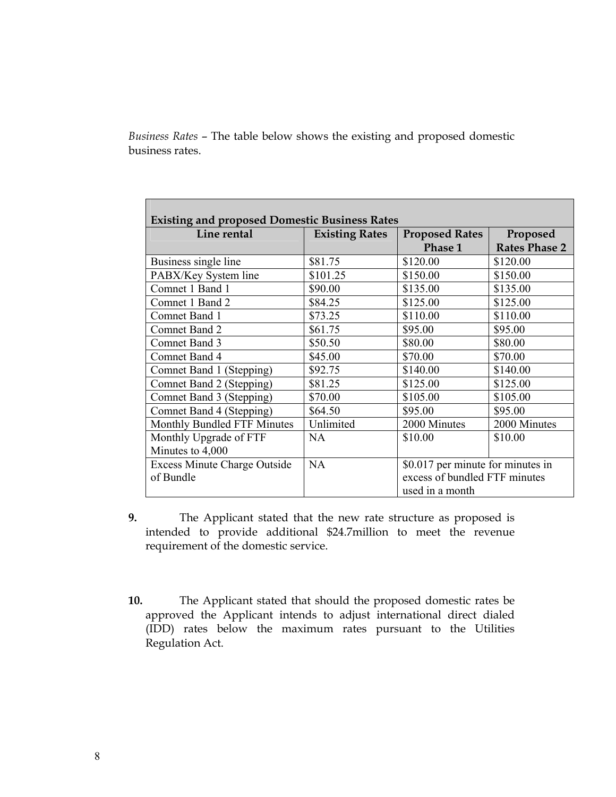*Business Rates* – The table below shows the existing and proposed domestic business rates.

| Line rental                         | <b>Existing Rates</b> | <b>Proposed Rates</b>             | Proposed             |
|-------------------------------------|-----------------------|-----------------------------------|----------------------|
|                                     |                       | Phase 1                           | <b>Rates Phase 2</b> |
| Business single line                | \$81.75               | \$120.00                          | \$120.00             |
| PABX/Key System line                | \$101.25              | \$150.00                          | \$150.00             |
| Comnet 1 Band 1                     | \$90.00               | \$135.00                          | \$135.00             |
| Comnet 1 Band 2                     | \$84.25               | \$125.00                          | \$125.00             |
| Comnet Band 1                       | \$73.25               | \$110.00                          | \$110.00             |
| Comnet Band 2                       | \$61.75               | \$95.00                           | \$95.00              |
| Comnet Band 3                       | \$50.50               | \$80.00                           | \$80.00              |
| Comnet Band 4                       | \$45.00               | \$70.00                           | \$70.00              |
| Comnet Band 1 (Stepping)            | \$92.75               | \$140.00                          | \$140.00             |
| Comnet Band 2 (Stepping)            | \$81.25               | \$125.00                          | \$125.00             |
| Comnet Band 3 (Stepping)            | \$70.00               | \$105.00                          | \$105.00             |
| Comnet Band 4 (Stepping)            | \$64.50               | \$95.00                           | \$95.00              |
| Monthly Bundled FTF Minutes         | Unlimited             | 2000 Minutes                      | 2000 Minutes         |
| Monthly Upgrade of FTF              | <b>NA</b>             | \$10.00                           | \$10.00              |
| Minutes to 4,000                    |                       |                                   |                      |
| <b>Excess Minute Charge Outside</b> | <b>NA</b>             | \$0.017 per minute for minutes in |                      |
| of Bundle                           |                       | excess of bundled FTF minutes     |                      |
|                                     |                       | used in a month                   |                      |

- **9.** The Applicant stated that the new rate structure as proposed is intended to provide additional \$24.7million to meet the revenue requirement of the domestic service.
- **10.** The Applicant stated that should the proposed domestic rates be approved the Applicant intends to adjust international direct dialed (IDD) rates below the maximum rates pursuant to the Utilities Regulation Act.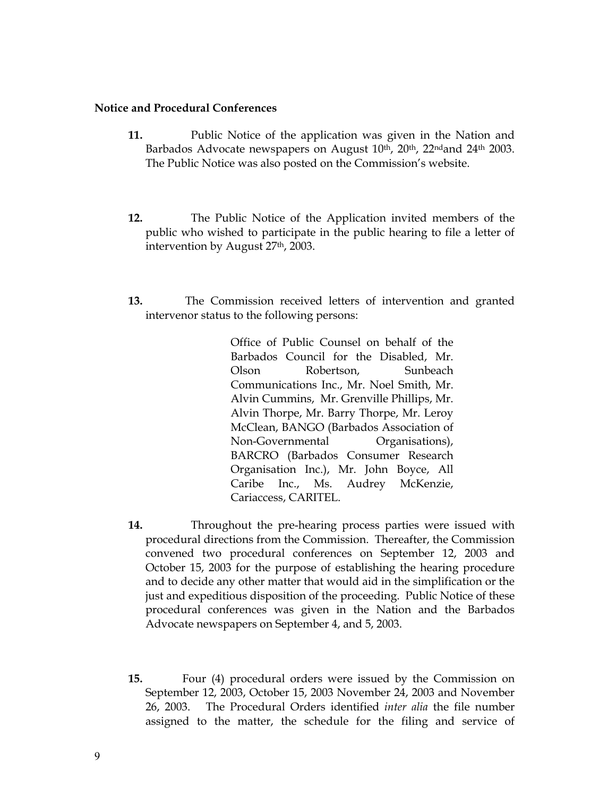### **Notice and Procedural Conferences**

- **11.** Public Notice of the application was given in the Nation and Barbados Advocate newspapers on August 10<sup>th</sup>, 20<sup>th</sup>, 22<sup>nd</sup>and 24<sup>th</sup> 2003. The Public Notice was also posted on the Commission's website.
- **12.** The Public Notice of the Application invited members of the public who wished to participate in the public hearing to file a letter of intervention by August 27th, 2003.
- **13.** The Commission received letters of intervention and granted intervenor status to the following persons:

Office of Public Counsel on behalf of the Barbados Council for the Disabled, Mr. Olson Robertson, Sunbeach Communications Inc., Mr. Noel Smith, Mr. Alvin Cummins, Mr. Grenville Phillips, Mr. Alvin Thorpe, Mr. Barry Thorpe, Mr. Leroy McClean, BANGO (Barbados Association of Non-Governmental Organisations), BARCRO (Barbados Consumer Research Organisation Inc.), Mr. John Boyce, All Caribe Inc., Ms. Audrey McKenzie, Cariaccess, CARITEL.

- **14.** Throughout the pre-hearing process parties were issued with procedural directions from the Commission. Thereafter, the Commission convened two procedural conferences on September 12, 2003 and October 15, 2003 for the purpose of establishing the hearing procedure and to decide any other matter that would aid in the simplification or the just and expeditious disposition of the proceeding. Public Notice of these procedural conferences was given in the Nation and the Barbados Advocate newspapers on September 4, and 5, 2003.
- **15.** Four (4) procedural orders were issued by the Commission on September 12, 2003, October 15, 2003 November 24, 2003 and November 26, 2003. The Procedural Orders identified *inter alia* the file number assigned to the matter, the schedule for the filing and service of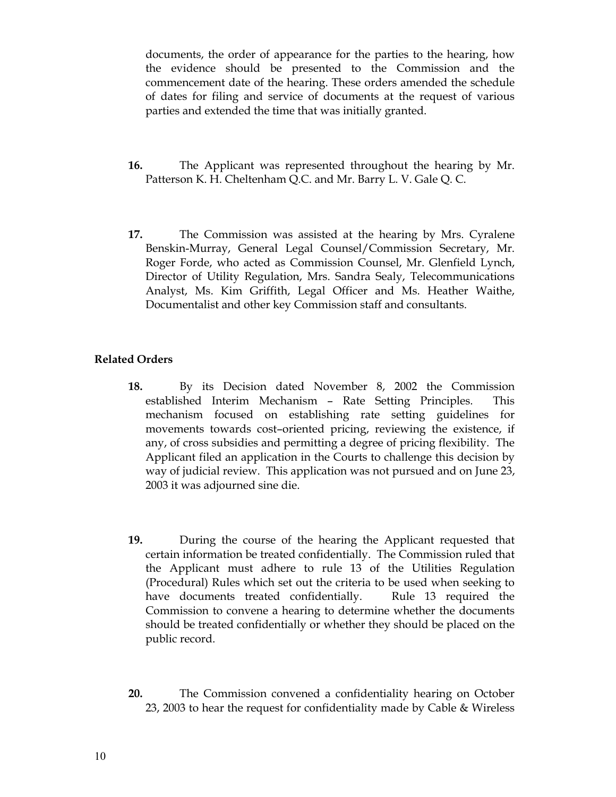documents, the order of appearance for the parties to the hearing, how the evidence should be presented to the Commission and the commencement date of the hearing. These orders amended the schedule of dates for filing and service of documents at the request of various parties and extended the time that was initially granted.

- **16.** The Applicant was represented throughout the hearing by Mr. Patterson K. H. Cheltenham Q.C. and Mr. Barry L. V. Gale Q. C.
- **17.** The Commission was assisted at the hearing by Mrs. Cyralene Benskin-Murray, General Legal Counsel/Commission Secretary, Mr. Roger Forde, who acted as Commission Counsel, Mr. Glenfield Lynch, Director of Utility Regulation, Mrs. Sandra Sealy, Telecommunications Analyst, Ms. Kim Griffith, Legal Officer and Ms. Heather Waithe, Documentalist and other key Commission staff and consultants.

### **Related Orders**

- **18.** By its Decision dated November 8, 2002 the Commission established Interim Mechanism – Rate Setting Principles. This mechanism focused on establishing rate setting guidelines for movements towards cost–oriented pricing, reviewing the existence, if any, of cross subsidies and permitting a degree of pricing flexibility. The Applicant filed an application in the Courts to challenge this decision by way of judicial review. This application was not pursued and on June 23, 2003 it was adjourned sine die.
- **19.** During the course of the hearing the Applicant requested that certain information be treated confidentially. The Commission ruled that the Applicant must adhere to rule 13 of the Utilities Regulation (Procedural) Rules which set out the criteria to be used when seeking to have documents treated confidentially. Rule 13 required the Commission to convene a hearing to determine whether the documents should be treated confidentially or whether they should be placed on the public record.
- **20.** The Commission convened a confidentiality hearing on October 23, 2003 to hear the request for confidentiality made by Cable & Wireless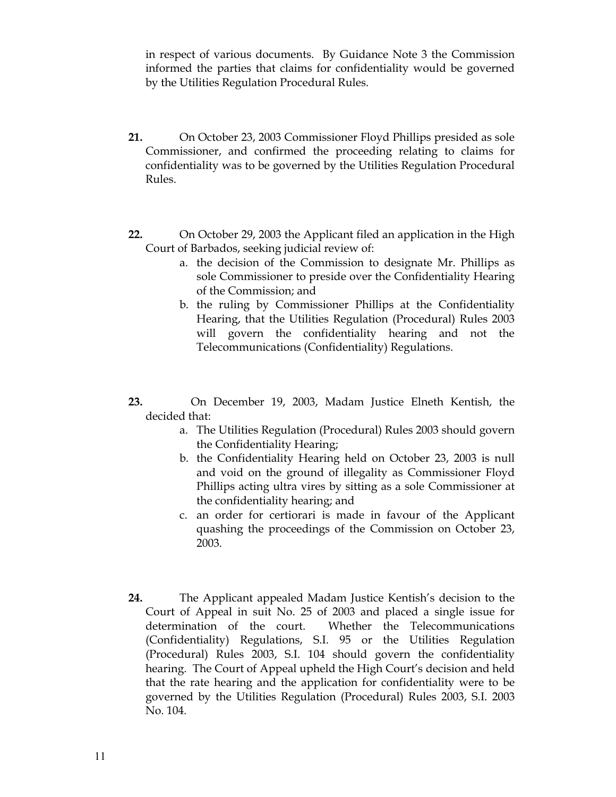in respect of various documents. By Guidance Note 3 the Commission informed the parties that claims for confidentiality would be governed by the Utilities Regulation Procedural Rules.

- **21.** On October 23, 2003 Commissioner Floyd Phillips presided as sole Commissioner, and confirmed the proceeding relating to claims for confidentiality was to be governed by the Utilities Regulation Procedural Rules.
- **22.** On October 29, 2003 the Applicant filed an application in the High Court of Barbados, seeking judicial review of:
	- a. the decision of the Commission to designate Mr. Phillips as sole Commissioner to preside over the Confidentiality Hearing of the Commission; and
	- b. the ruling by Commissioner Phillips at the Confidentiality Hearing, that the Utilities Regulation (Procedural) Rules 2003 will govern the confidentiality hearing and not the Telecommunications (Confidentiality) Regulations.
- **23.** On December 19, 2003, Madam Justice Elneth Kentish, the decided that:
	- a. The Utilities Regulation (Procedural) Rules 2003 should govern the Confidentiality Hearing;
	- b. the Confidentiality Hearing held on October 23, 2003 is null and void on the ground of illegality as Commissioner Floyd Phillips acting ultra vires by sitting as a sole Commissioner at the confidentiality hearing; and
	- c. an order for certiorari is made in favour of the Applicant quashing the proceedings of the Commission on October 23, 2003.
- **24.** The Applicant appealed Madam Justice Kentish's decision to the Court of Appeal in suit No. 25 of 2003 and placed a single issue for determination of the court. Whether the Telecommunications (Confidentiality) Regulations, S.I. 95 or the Utilities Regulation (Procedural) Rules 2003, S.I. 104 should govern the confidentiality hearing. The Court of Appeal upheld the High Court's decision and held that the rate hearing and the application for confidentiality were to be governed by the Utilities Regulation (Procedural) Rules 2003, S.I. 2003 No. 104.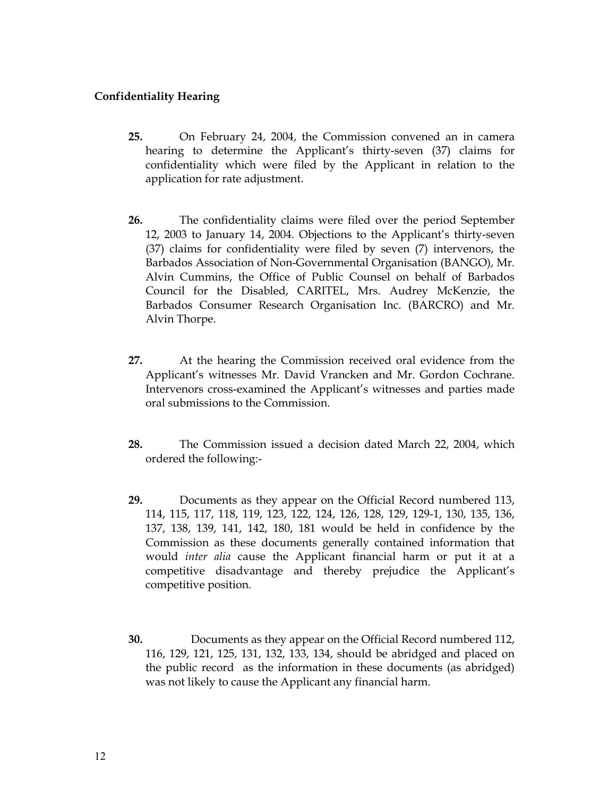## **Confidentiality Hearing**

- **25.** On February 24, 2004, the Commission convened an in camera hearing to determine the Applicant's thirty-seven (37) claims for confidentiality which were filed by the Applicant in relation to the application for rate adjustment.
- **26.** The confidentiality claims were filed over the period September 12, 2003 to January 14, 2004. Objections to the Applicant's thirty-seven (37) claims for confidentiality were filed by seven (7) intervenors, the Barbados Association of Non-Governmental Organisation (BANGO), Mr. Alvin Cummins, the Office of Public Counsel on behalf of Barbados Council for the Disabled, CARITEL, Mrs. Audrey McKenzie, the Barbados Consumer Research Organisation Inc. (BARCRO) and Mr. Alvin Thorpe.
- **27.** At the hearing the Commission received oral evidence from the Applicant's witnesses Mr. David Vrancken and Mr. Gordon Cochrane. Intervenors cross-examined the Applicant's witnesses and parties made oral submissions to the Commission.
- **28.** The Commission issued a decision dated March 22, 2004, which ordered the following:-
- **29.** Documents as they appear on the Official Record numbered 113, 114, 115, 117, 118, 119, 123, 122, 124, 126, 128, 129, 129-1, 130, 135, 136, 137, 138, 139, 141, 142, 180, 181 would be held in confidence by the Commission as these documents generally contained information that would *inter alia* cause the Applicant financial harm or put it at a competitive disadvantage and thereby prejudice the Applicant's competitive position.
- **30.** Documents as they appear on the Official Record numbered 112, 116, 129, 121, 125, 131, 132, 133, 134, should be abridged and placed on the public record as the information in these documents (as abridged) was not likely to cause the Applicant any financial harm.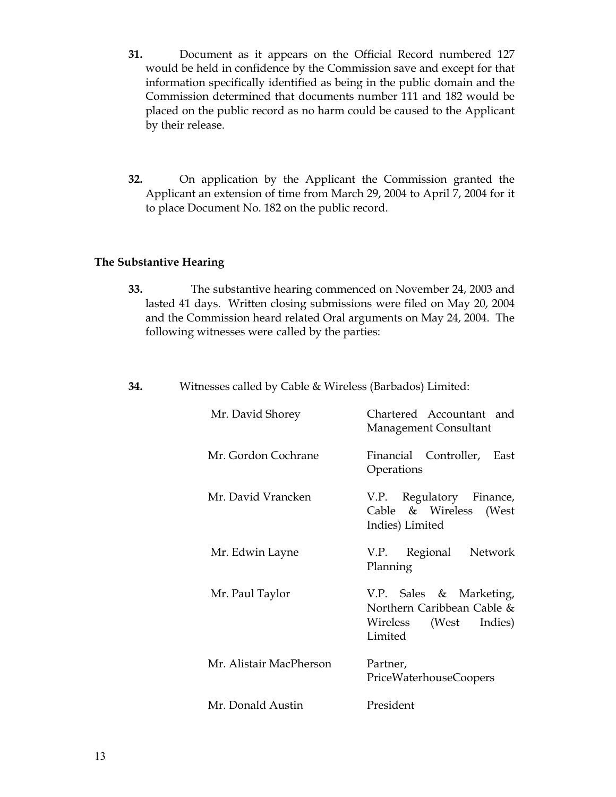- **31.** Document as it appears on the Official Record numbered 127 would be held in confidence by the Commission save and except for that information specifically identified as being in the public domain and the Commission determined that documents number 111 and 182 would be placed on the public record as no harm could be caused to the Applicant by their release.
- **32.** On application by the Applicant the Commission granted the Applicant an extension of time from March 29, 2004 to April 7, 2004 for it to place Document No. 182 on the public record.

### **The Substantive Hearing**

- **33.** The substantive hearing commenced on November 24, 2003 and lasted 41 days. Written closing submissions were filed on May 20, 2004 and the Commission heard related Oral arguments on May 24, 2004. The following witnesses were called by the parties:
- **34.** Witnesses called by Cable & Wireless (Barbados) Limited:

| Mr. David Shorey        | Chartered Accountant and<br>Management Consultant                                             |
|-------------------------|-----------------------------------------------------------------------------------------------|
| Mr. Gordon Cochrane     | Financial Controller, East<br>Operations                                                      |
| Mr. David Vrancken      | V.P. Regulatory Finance,<br>Cable & Wireless<br>(West)<br>Indies) Limited                     |
| Mr. Edwin Layne         | Network<br>V.P. Regional<br>Planning                                                          |
| Mr. Paul Taylor         | V.P. Sales & Marketing,<br>Northern Caribbean Cable &<br>(West Indies)<br>Wireless<br>Limited |
| Mr. Alistair MacPherson | Partner,<br>PriceWaterhouseCoopers                                                            |
| Mr. Donald Austin       | President                                                                                     |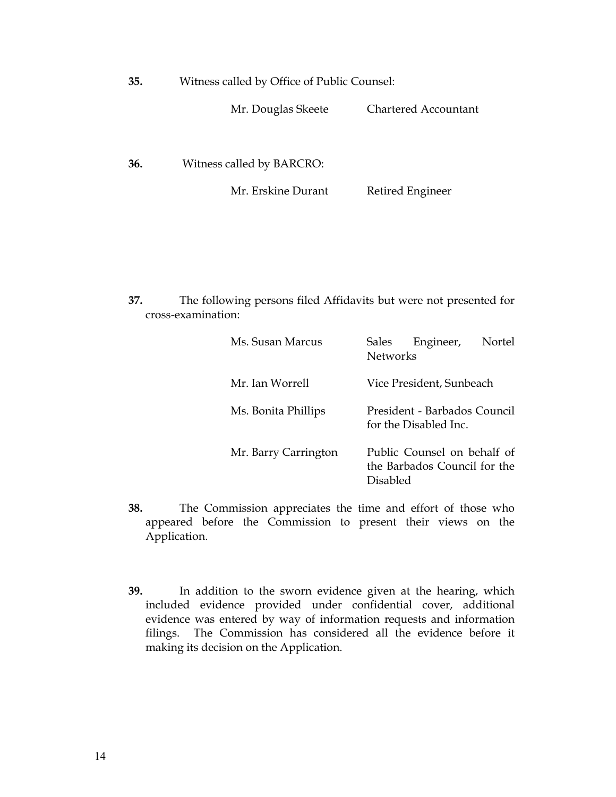| 35. | Witness called by Office of Public Counsel: |
|-----|---------------------------------------------|
|     |                                             |

Mr. Douglas Skeete Chartered Accountant

**36.** Witness called by BARCRO:

Mr. Erskine Durant Retired Engineer

**37.** The following persons filed Affidavits but were not presented for cross-examination:

| Ms. Susan Marcus     | Engineer,<br>Sales<br>Nortel<br><b>Networks</b>                         |
|----------------------|-------------------------------------------------------------------------|
| Mr. Ian Worrell      | Vice President, Sunbeach                                                |
| Ms. Bonita Phillips  | President - Barbados Council<br>for the Disabled Inc.                   |
| Mr. Barry Carrington | Public Counsel on behalf of<br>the Barbados Council for the<br>Disabled |

- **38.** The Commission appreciates the time and effort of those who appeared before the Commission to present their views on the Application.
- **39.** In addition to the sworn evidence given at the hearing, which included evidence provided under confidential cover, additional evidence was entered by way of information requests and information filings. The Commission has considered all the evidence before it making its decision on the Application.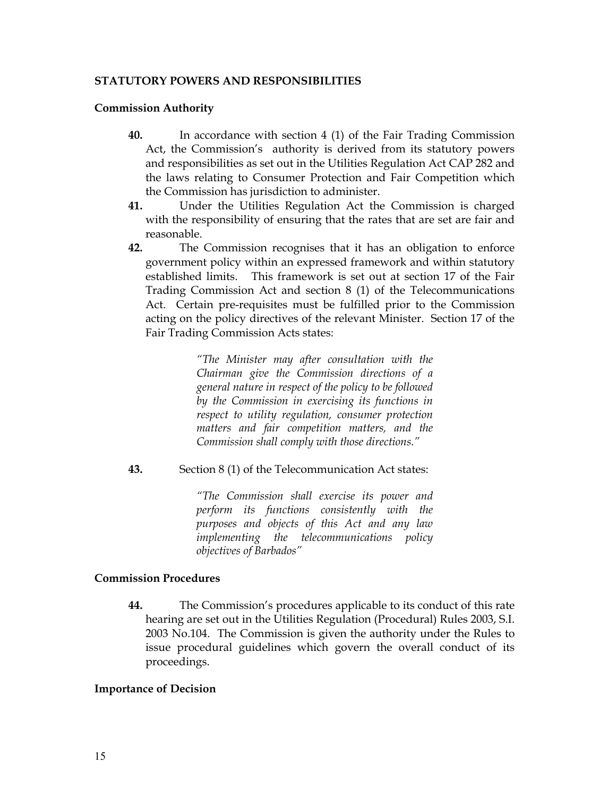### **STATUTORY POWERS AND RESPONSIBILITIES**

### **Commission Authority**

- **40.** In accordance with section 4 (1) of the Fair Trading Commission Act, the Commission's authority is derived from its statutory powers and responsibilities as set out in the Utilities Regulation Act CAP 282 and the laws relating to Consumer Protection and Fair Competition which the Commission has jurisdiction to administer.
- **41.** Under the Utilities Regulation Act the Commission is charged with the responsibility of ensuring that the rates that are set are fair and reasonable.
- **42.** The Commission recognises that it has an obligation to enforce government policy within an expressed framework and within statutory established limits. This framework is set out at section 17 of the Fair Trading Commission Act and section 8 (1) of the Telecommunications Act. Certain pre-requisites must be fulfilled prior to the Commission acting on the policy directives of the relevant Minister. Section 17 of the Fair Trading Commission Acts states:

*"The Minister may after consultation with the Chairman give the Commission directions of a general nature in respect of the policy to be followed by the Commission in exercising its functions in respect to utility regulation, consumer protection matters and fair competition matters, and the Commission shall comply with those directions."* 

**43.** Section 8 (1) of the Telecommunication Act states:

*"The Commission shall exercise its power and perform its functions consistently with the purposes and objects of this Act and any law implementing the telecommunications policy objectives of Barbados"* 

### **Commission Procedures**

**44.** The Commission's procedures applicable to its conduct of this rate hearing are set out in the Utilities Regulation (Procedural) Rules 2003, S.I. 2003 No.104. The Commission is given the authority under the Rules to issue procedural guidelines which govern the overall conduct of its proceedings.

### **Importance of Decision**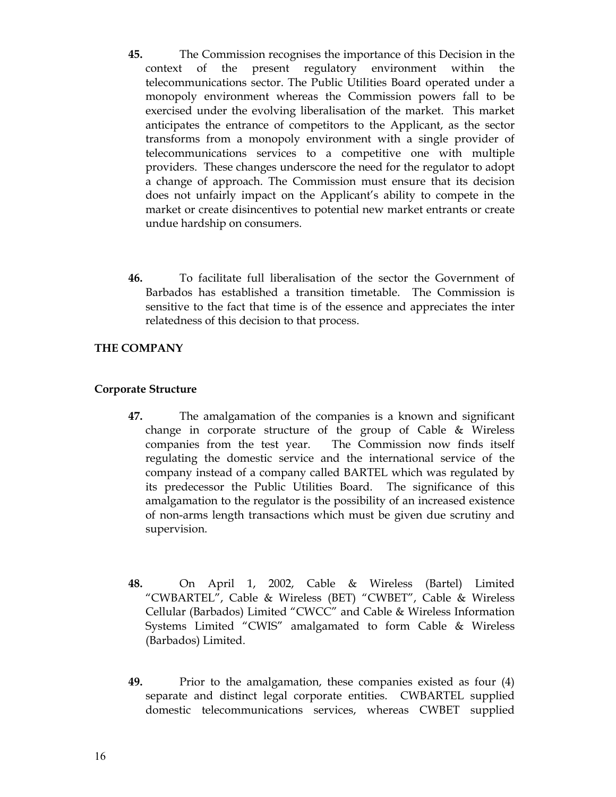- **45.** The Commission recognises the importance of this Decision in the context of the present regulatory environment within the telecommunications sector. The Public Utilities Board operated under a monopoly environment whereas the Commission powers fall to be exercised under the evolving liberalisation of the market. This market anticipates the entrance of competitors to the Applicant, as the sector transforms from a monopoly environment with a single provider of telecommunications services to a competitive one with multiple providers. These changes underscore the need for the regulator to adopt a change of approach. The Commission must ensure that its decision does not unfairly impact on the Applicant's ability to compete in the market or create disincentives to potential new market entrants or create undue hardship on consumers.
- **46.** To facilitate full liberalisation of the sector the Government of Barbados has established a transition timetable. The Commission is sensitive to the fact that time is of the essence and appreciates the inter relatedness of this decision to that process.

## **THE COMPANY**

### **Corporate Structure**

- **47.** The amalgamation of the companies is a known and significant change in corporate structure of the group of Cable & Wireless companies from the test year. The Commission now finds itself regulating the domestic service and the international service of the company instead of a company called BARTEL which was regulated by its predecessor the Public Utilities Board. The significance of this amalgamation to the regulator is the possibility of an increased existence of non-arms length transactions which must be given due scrutiny and supervision.
- **48.** On April 1, 2002, Cable & Wireless (Bartel) Limited "CWBARTEL", Cable & Wireless (BET) "CWBET", Cable & Wireless Cellular (Barbados) Limited "CWCC" and Cable & Wireless Information Systems Limited "CWIS" amalgamated to form Cable & Wireless (Barbados) Limited.
- **49.** Prior to the amalgamation, these companies existed as four (4) separate and distinct legal corporate entities. CWBARTEL supplied domestic telecommunications services, whereas CWBET supplied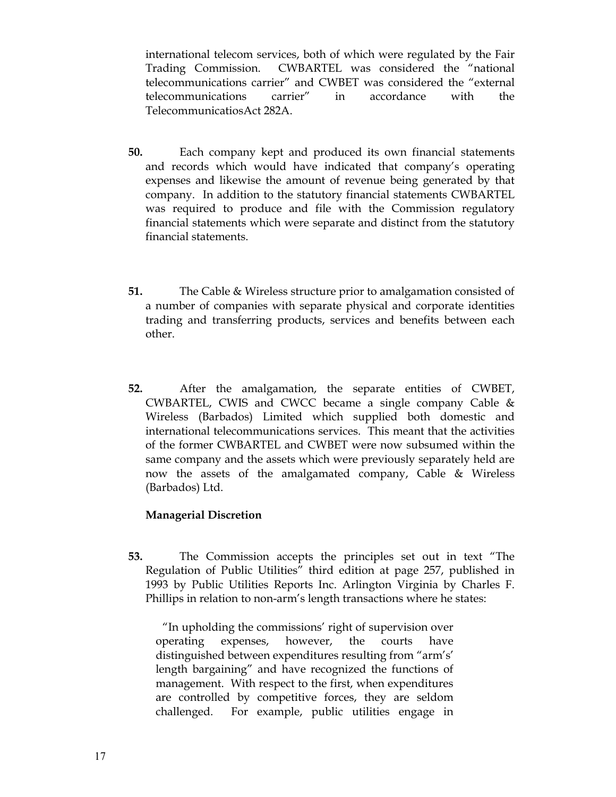international telecom services, both of which were regulated by the Fair Trading Commission. CWBARTEL was considered the "national telecommunications carrier" and CWBET was considered the "external telecommunications carrier" in accordance with the TelecommunicatiosAct 282A.

- **50.** Each company kept and produced its own financial statements and records which would have indicated that company's operating expenses and likewise the amount of revenue being generated by that company. In addition to the statutory financial statements CWBARTEL was required to produce and file with the Commission regulatory financial statements which were separate and distinct from the statutory financial statements.
- **51.** The Cable & Wireless structure prior to amalgamation consisted of a number of companies with separate physical and corporate identities trading and transferring products, services and benefits between each other.
- **52.** After the amalgamation, the separate entities of CWBET, CWBARTEL, CWIS and CWCC became a single company Cable & Wireless (Barbados) Limited which supplied both domestic and international telecommunications services. This meant that the activities of the former CWBARTEL and CWBET were now subsumed within the same company and the assets which were previously separately held are now the assets of the amalgamated company, Cable & Wireless (Barbados) Ltd.

### **Managerial Discretion**

**53.** The Commission accepts the principles set out in text "The Regulation of Public Utilities" third edition at page 257, published in 1993 by Public Utilities Reports Inc. Arlington Virginia by Charles F. Phillips in relation to non-arm's length transactions where he states:

 "In upholding the commissions' right of supervision over operating expenses, however, the courts have distinguished between expenditures resulting from "arm's' length bargaining" and have recognized the functions of management. With respect to the first, when expenditures are controlled by competitive forces, they are seldom challenged. For example, public utilities engage in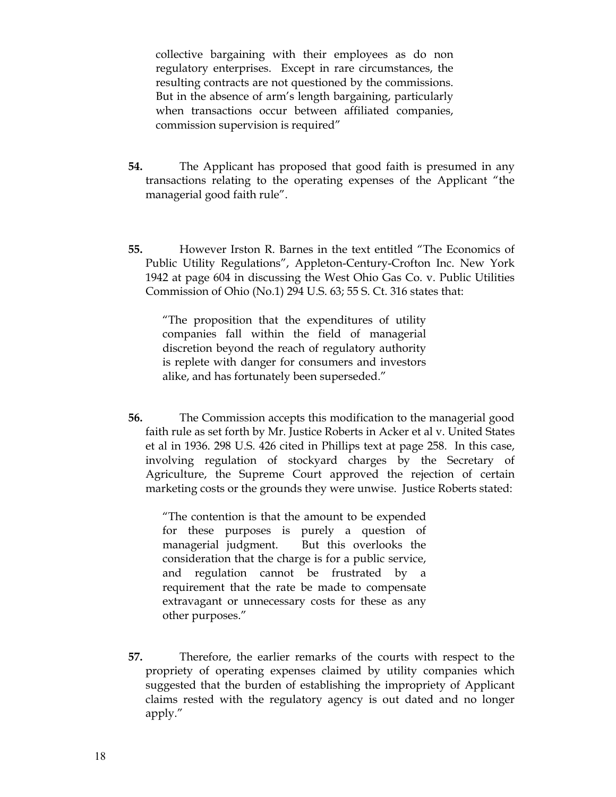collective bargaining with their employees as do non regulatory enterprises. Except in rare circumstances, the resulting contracts are not questioned by the commissions. But in the absence of arm's length bargaining, particularly when transactions occur between affiliated companies, commission supervision is required"

- **54.** The Applicant has proposed that good faith is presumed in any transactions relating to the operating expenses of the Applicant "the managerial good faith rule".
- **55.** However Irston R. Barnes in the text entitled "The Economics of Public Utility Regulations", Appleton-Century-Crofton Inc. New York 1942 at page 604 in discussing the West Ohio Gas Co. v. Public Utilities Commission of Ohio (No.1) 294 U.S. 63; 55 S. Ct. 316 states that:

"The proposition that the expenditures of utility companies fall within the field of managerial discretion beyond the reach of regulatory authority is replete with danger for consumers and investors alike, and has fortunately been superseded."

**56.** The Commission accepts this modification to the managerial good faith rule as set forth by Mr. Justice Roberts in Acker et al v. United States et al in 1936. 298 U.S. 426 cited in Phillips text at page 258. In this case, involving regulation of stockyard charges by the Secretary of Agriculture, the Supreme Court approved the rejection of certain marketing costs or the grounds they were unwise. Justice Roberts stated:

"The contention is that the amount to be expended for these purposes is purely a question of managerial judgment. But this overlooks the consideration that the charge is for a public service, and regulation cannot be frustrated by a requirement that the rate be made to compensate extravagant or unnecessary costs for these as any other purposes."

**57.** Therefore, the earlier remarks of the courts with respect to the propriety of operating expenses claimed by utility companies which suggested that the burden of establishing the impropriety of Applicant claims rested with the regulatory agency is out dated and no longer apply."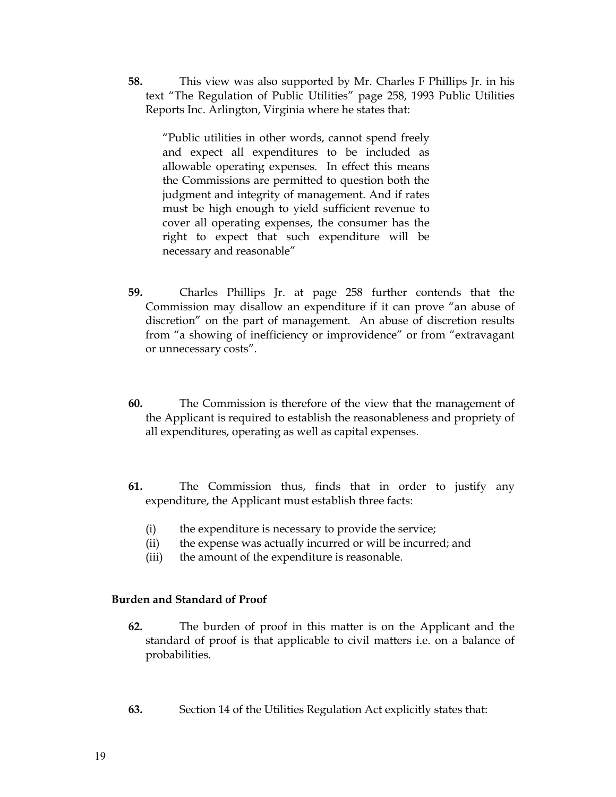**58.** This view was also supported by Mr. Charles F Phillips Jr. in his text "The Regulation of Public Utilities" page 258, 1993 Public Utilities Reports Inc. Arlington, Virginia where he states that:

"Public utilities in other words, cannot spend freely and expect all expenditures to be included as allowable operating expenses. In effect this means the Commissions are permitted to question both the judgment and integrity of management. And if rates must be high enough to yield sufficient revenue to cover all operating expenses, the consumer has the right to expect that such expenditure will be necessary and reasonable"

- **59.** Charles Phillips Jr. at page 258 further contends that the Commission may disallow an expenditure if it can prove "an abuse of discretion" on the part of management. An abuse of discretion results from "a showing of inefficiency or improvidence" or from "extravagant or unnecessary costs".
- **60.** The Commission is therefore of the view that the management of the Applicant is required to establish the reasonableness and propriety of all expenditures, operating as well as capital expenses.
- **61.** The Commission thus, finds that in order to justify any expenditure, the Applicant must establish three facts:
	- (i) the expenditure is necessary to provide the service;
	- (ii) the expense was actually incurred or will be incurred; and
	- (iii) the amount of the expenditure is reasonable.

### **Burden and Standard of Proof**

- **62.** The burden of proof in this matter is on the Applicant and the standard of proof is that applicable to civil matters i.e. on a balance of probabilities.
- **63.** Section 14 of the Utilities Regulation Act explicitly states that: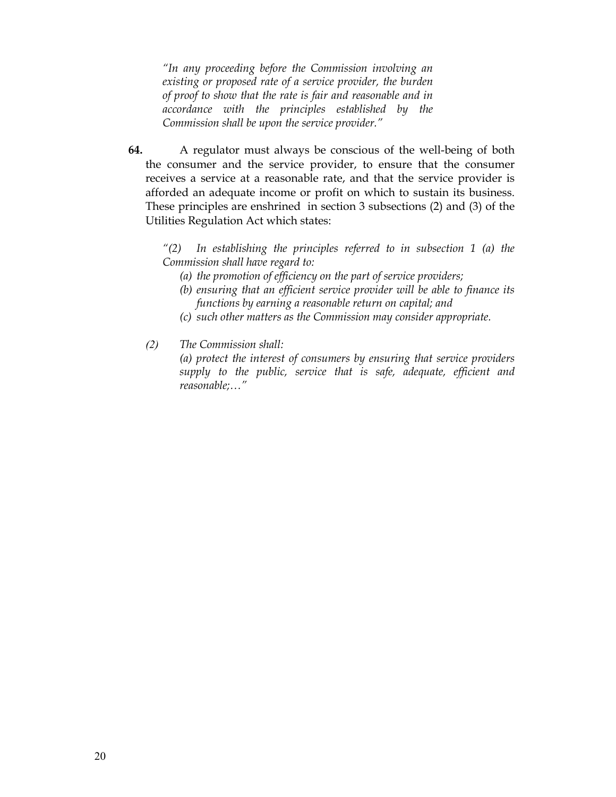*"In any proceeding before the Commission involving an existing or proposed rate of a service provider, the burden of proof to show that the rate is fair and reasonable and in accordance with the principles established by the Commission shall be upon the service provider."* 

**64.** A regulator must always be conscious of the well-being of both the consumer and the service provider, to ensure that the consumer receives a service at a reasonable rate, and that the service provider is afforded an adequate income or profit on which to sustain its business. These principles are enshrined in section 3 subsections (2) and (3) of the Utilities Regulation Act which states:

*"(2) In establishing the principles referred to in subsection 1 (a) the Commission shall have regard to:* 

- *(a) the promotion of efficiency on the part of service providers;*
- *(b) ensuring that an efficient service provider will be able to finance its functions by earning a reasonable return on capital; and*
- *(c) such other matters as the Commission may consider appropriate.*
- *(2) The Commission shall:*

*(a) protect the interest of consumers by ensuring that service providers supply to the public, service that is safe, adequate, efficient and reasonable;…"*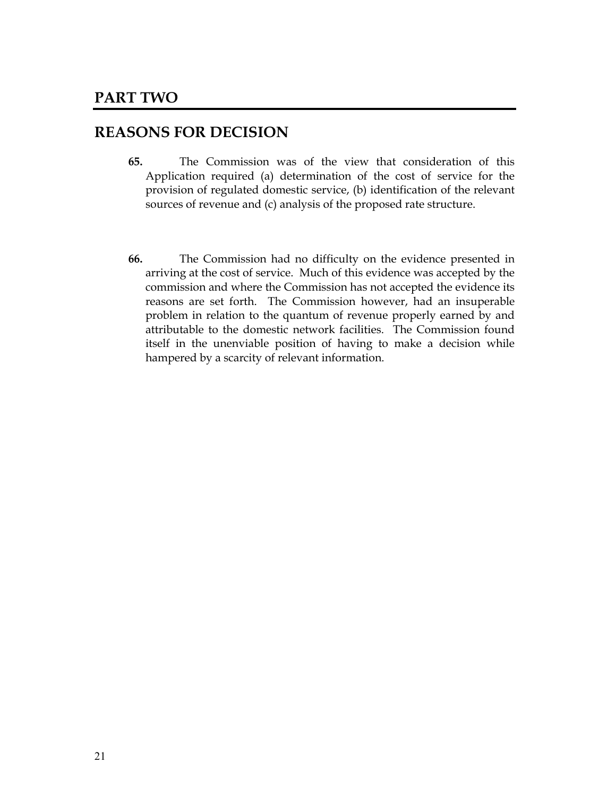## **REASONS FOR DECISION**

- **65.** The Commission was of the view that consideration of this Application required (a) determination of the cost of service for the provision of regulated domestic service, (b) identification of the relevant sources of revenue and (c) analysis of the proposed rate structure.
- **66.** The Commission had no difficulty on the evidence presented in arriving at the cost of service. Much of this evidence was accepted by the commission and where the Commission has not accepted the evidence its reasons are set forth. The Commission however, had an insuperable problem in relation to the quantum of revenue properly earned by and attributable to the domestic network facilities. The Commission found itself in the unenviable position of having to make a decision while hampered by a scarcity of relevant information.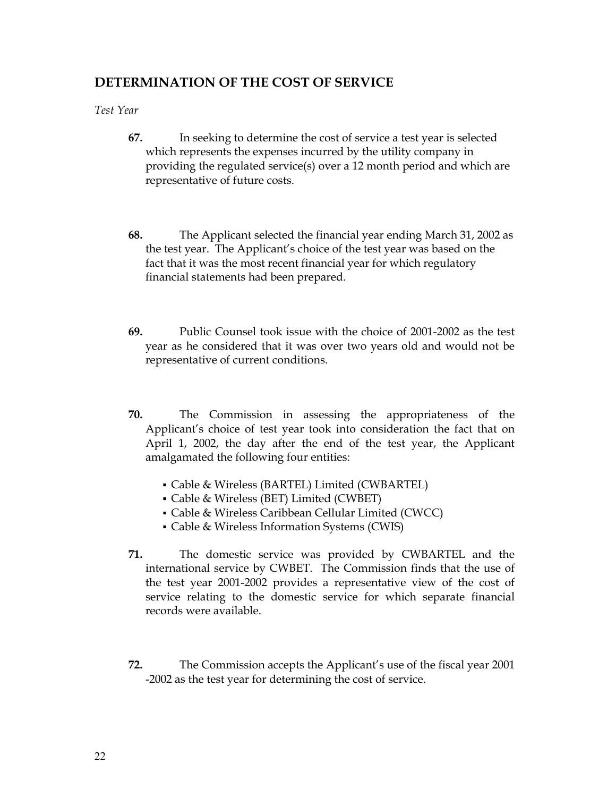## **DETERMINATION OF THE COST OF SERVICE**

*Test Year*

- **67.** In seeking to determine the cost of service a test year is selected which represents the expenses incurred by the utility company in providing the regulated service(s) over a 12 month period and which are representative of future costs.
- **68.** The Applicant selected the financial year ending March 31, 2002 as the test year. The Applicant's choice of the test year was based on the fact that it was the most recent financial year for which regulatory financial statements had been prepared.
- **69.** Public Counsel took issue with the choice of 2001-2002 as the test year as he considered that it was over two years old and would not be representative of current conditions.
- **70.** The Commission in assessing the appropriateness of the Applicant's choice of test year took into consideration the fact that on April 1, 2002, the day after the end of the test year, the Applicant amalgamated the following four entities:
	- Cable & Wireless (BARTEL) Limited (CWBARTEL)
	- Cable & Wireless (BET) Limited (CWBET)
	- Cable & Wireless Caribbean Cellular Limited (CWCC)
	- Cable & Wireless Information Systems (CWIS)
- **71.** The domestic service was provided by CWBARTEL and the international service by CWBET. The Commission finds that the use of the test year 2001-2002 provides a representative view of the cost of service relating to the domestic service for which separate financial records were available.
- **72.** The Commission accepts the Applicant's use of the fiscal year 2001 -2002 as the test year for determining the cost of service.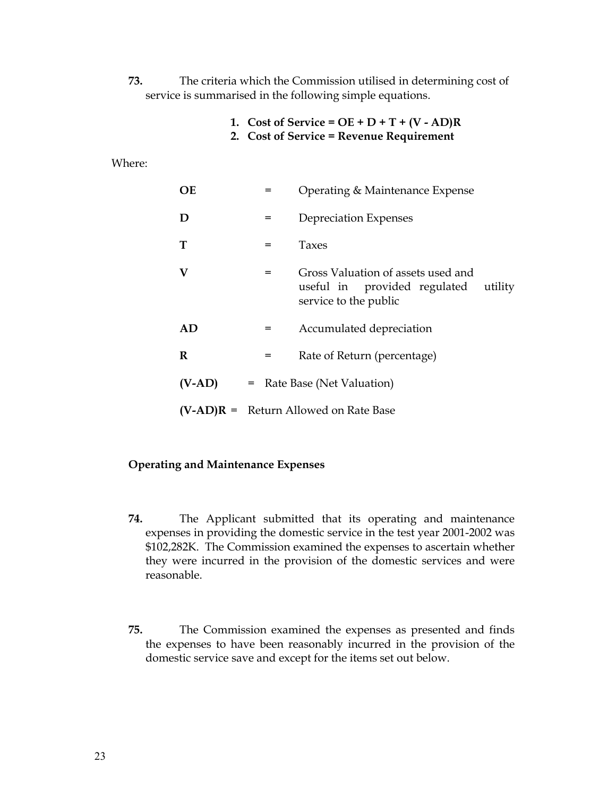- **73.** The criteria which the Commission utilised in determining cost of service is summarised in the following simple equations.
	- **1. Cost of Service = OE + D + T + (V AD)R**
	- **2. Cost of Service = Revenue Requirement**

Where:

| <b>OE</b> | $=$                                     | Operating & Maintenance Expense                                                                        |
|-----------|-----------------------------------------|--------------------------------------------------------------------------------------------------------|
| D         | $=$                                     | Depreciation Expenses                                                                                  |
| T         | $=$                                     | Taxes                                                                                                  |
| V         | $=$                                     | Gross Valuation of assets used and<br>useful in provided regulated<br>utility<br>service to the public |
| AD        | $=$                                     | Accumulated depreciation                                                                               |
| R         | $=$                                     | Rate of Return (percentage)                                                                            |
| $(V-AD)$  | Rate Base (Net Valuation)<br>$=$        |                                                                                                        |
|           | $(V-AD)R$ = Return Allowed on Rate Base |                                                                                                        |

### **Operating and Maintenance Expenses**

- **74.** The Applicant submitted that its operating and maintenance expenses in providing the domestic service in the test year 2001-2002 was \$102,282K. The Commission examined the expenses to ascertain whether they were incurred in the provision of the domestic services and were reasonable.
- **75.** The Commission examined the expenses as presented and finds the expenses to have been reasonably incurred in the provision of the domestic service save and except for the items set out below.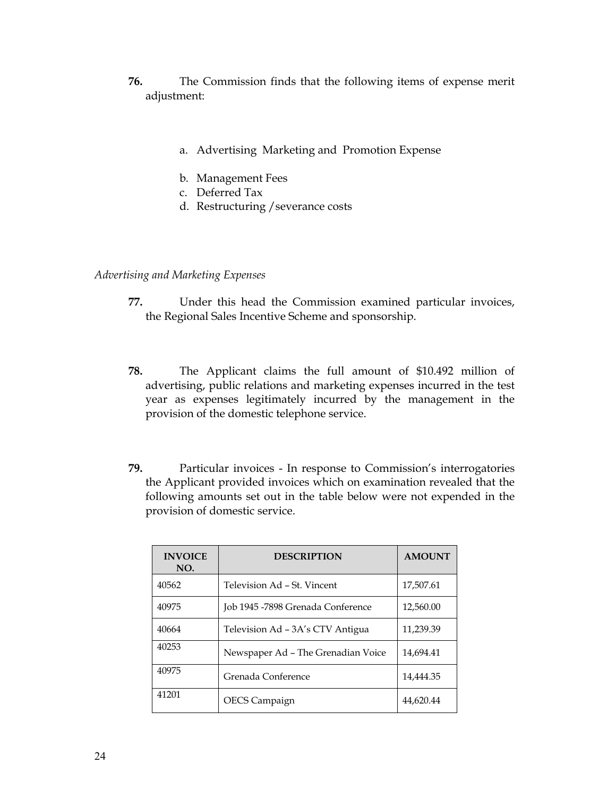- **76.** The Commission finds that the following items of expense merit adjustment:
	- a. Advertising Marketing and Promotion Expense
	- b. Management Fees
	- c. Deferred Tax
	- d. Restructuring /severance costs

### *Advertising and Marketing Expenses*

- **77.** Under this head the Commission examined particular invoices, the Regional Sales Incentive Scheme and sponsorship.
- **78.** The Applicant claims the full amount of \$10.492 million of advertising, public relations and marketing expenses incurred in the test year as expenses legitimately incurred by the management in the provision of the domestic telephone service.
- **79.** Particular invoices In response to Commission's interrogatories the Applicant provided invoices which on examination revealed that the following amounts set out in the table below were not expended in the provision of domestic service.

| <b>INVOICE</b><br>NO. | <b>DESCRIPTION</b>                 | <b>AMOUNT</b> |
|-----------------------|------------------------------------|---------------|
| 40562                 | Television Ad - St. Vincent        | 17,507.61     |
| 40975                 | Job 1945 -7898 Grenada Conference  | 12,560.00     |
| 40664                 | Television Ad - 3A's CTV Antigua   | 11,239.39     |
| 40253                 | Newspaper Ad - The Grenadian Voice | 14.694.41     |
| 40975                 | Grenada Conference                 | 14,444.35     |
| 41201                 | OECS Campaign                      | 44.620.44     |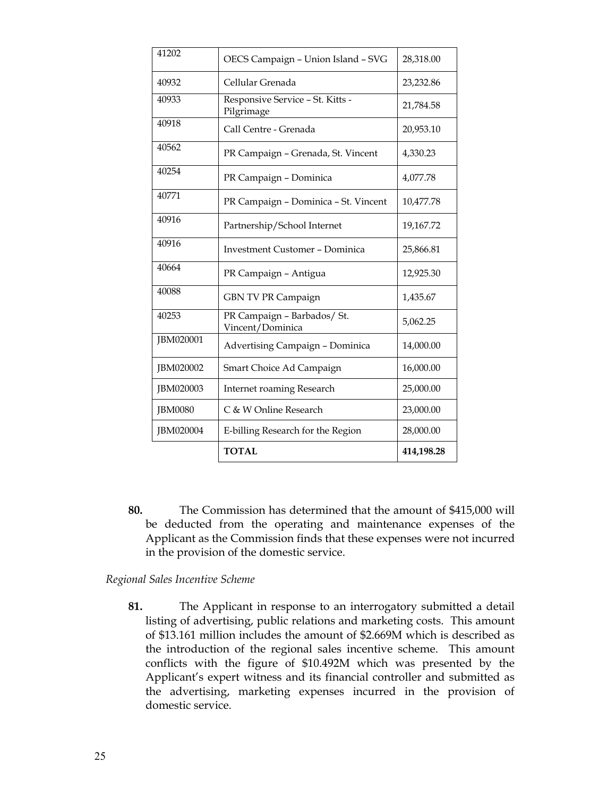| 41202          | OECS Campaign - Union Island - SVG              | 28,318.00  |
|----------------|-------------------------------------------------|------------|
| 40932          | Cellular Grenada                                | 23,232.86  |
| 40933          | Responsive Service - St. Kitts -<br>Pilgrimage  | 21,784.58  |
| 40918          | Call Centre - Grenada                           | 20,953.10  |
| 40562          | PR Campaign - Grenada, St. Vincent              | 4,330.23   |
| 40254          | PR Campaign - Dominica                          | 4,077.78   |
| 40771          | PR Campaign - Dominica - St. Vincent            | 10,477.78  |
| 40916          | Partnership/School Internet                     | 19,167.72  |
| 40916          | <b>Investment Customer - Dominica</b>           | 25,866.81  |
| 40664          | PR Campaign - Antigua                           | 12,925.30  |
| 40088          | GBN TV PR Campaign                              | 1,435.67   |
| 40253          | PR Campaign - Barbados/ St.<br>Vincent/Dominica | 5,062.25   |
| JBM020001      | Advertising Campaign - Dominica                 | 14,000.00  |
| JBM020002      | Smart Choice Ad Campaign                        | 16,000.00  |
| JBM020003      | <b>Internet roaming Research</b>                | 25,000.00  |
| <b>JBM0080</b> | C & W Online Research                           | 23,000.00  |
| JBM020004      | E-billing Research for the Region               | 28,000.00  |
|                | <b>TOTAL</b>                                    | 414,198.28 |

**80.** The Commission has determined that the amount of \$415,000 will be deducted from the operating and maintenance expenses of the Applicant as the Commission finds that these expenses were not incurred in the provision of the domestic service.

### *Regional Sales Incentive Scheme*

**81.** The Applicant in response to an interrogatory submitted a detail listing of advertising, public relations and marketing costs. This amount of \$13.161 million includes the amount of \$2.669M which is described as the introduction of the regional sales incentive scheme. This amount conflicts with the figure of \$10.492M which was presented by the Applicant's expert witness and its financial controller and submitted as the advertising, marketing expenses incurred in the provision of domestic service.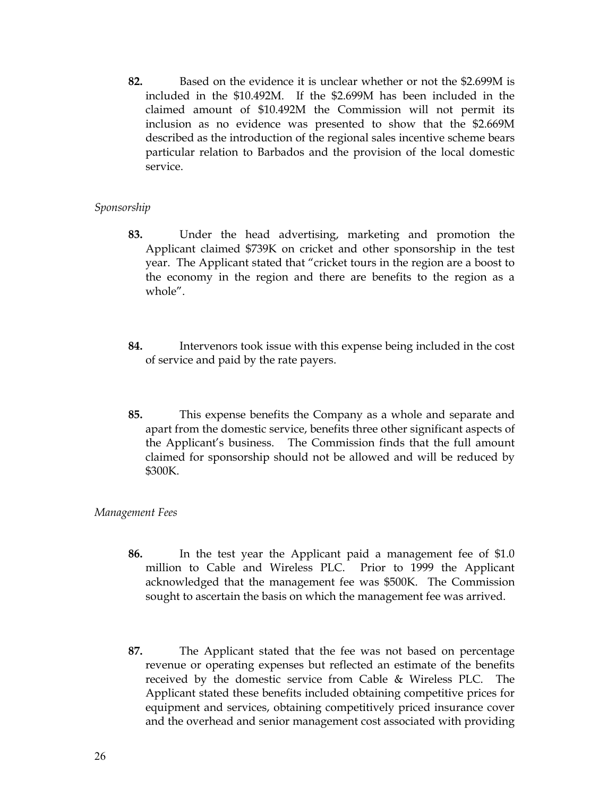**82.** Based on the evidence it is unclear whether or not the \$2.699M is included in the \$10.492M. If the \$2.699M has been included in the claimed amount of \$10.492M the Commission will not permit its inclusion as no evidence was presented to show that the \$2.669M described as the introduction of the regional sales incentive scheme bears particular relation to Barbados and the provision of the local domestic service.

### *Sponsorship*

- **83.** Under the head advertising, marketing and promotion the Applicant claimed \$739K on cricket and other sponsorship in the test year. The Applicant stated that "cricket tours in the region are a boost to the economy in the region and there are benefits to the region as a whole".
- **84.** Intervenors took issue with this expense being included in the cost of service and paid by the rate payers.
- **85.** This expense benefits the Company as a whole and separate and apart from the domestic service, benefits three other significant aspects of the Applicant's business. The Commission finds that the full amount claimed for sponsorship should not be allowed and will be reduced by \$300K.

### *Management Fees*

- **86.** In the test year the Applicant paid a management fee of \$1.0 million to Cable and Wireless PLC. Prior to 1999 the Applicant acknowledged that the management fee was \$500K. The Commission sought to ascertain the basis on which the management fee was arrived.
- **87.** The Applicant stated that the fee was not based on percentage revenue or operating expenses but reflected an estimate of the benefits received by the domestic service from Cable & Wireless PLC. The Applicant stated these benefits included obtaining competitive prices for equipment and services, obtaining competitively priced insurance cover and the overhead and senior management cost associated with providing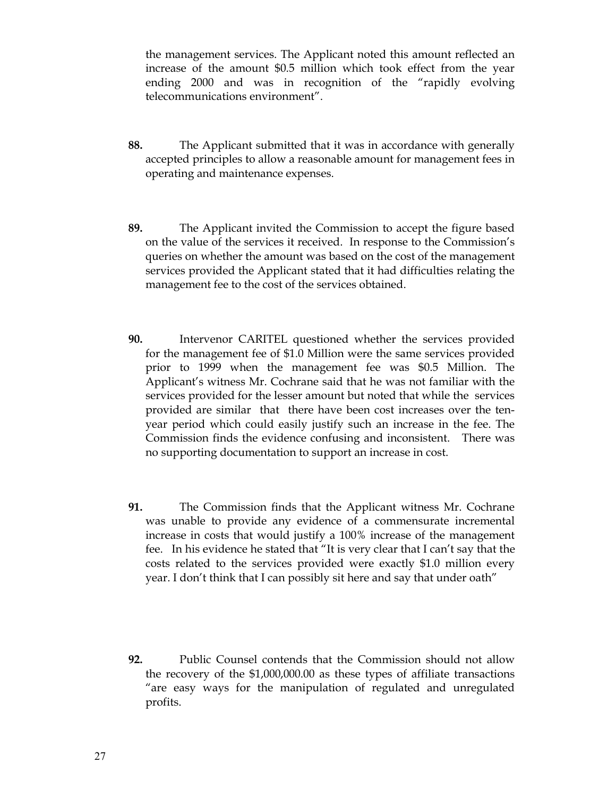the management services. The Applicant noted this amount reflected an increase of the amount \$0.5 million which took effect from the year ending 2000 and was in recognition of the "rapidly evolving telecommunications environment".

- **88.** The Applicant submitted that it was in accordance with generally accepted principles to allow a reasonable amount for management fees in operating and maintenance expenses.
- **89.** The Applicant invited the Commission to accept the figure based on the value of the services it received. In response to the Commission's queries on whether the amount was based on the cost of the management services provided the Applicant stated that it had difficulties relating the management fee to the cost of the services obtained.
- **90.** Intervenor CARITEL questioned whether the services provided for the management fee of \$1.0 Million were the same services provided prior to 1999 when the management fee was \$0.5 Million. The Applicant's witness Mr. Cochrane said that he was not familiar with the services provided for the lesser amount but noted that while the services provided are similar that there have been cost increases over the tenyear period which could easily justify such an increase in the fee. The Commission finds the evidence confusing and inconsistent. There was no supporting documentation to support an increase in cost.
- **91.** The Commission finds that the Applicant witness Mr. Cochrane was unable to provide any evidence of a commensurate incremental increase in costs that would justify a 100% increase of the management fee. In his evidence he stated that "It is very clear that I can't say that the costs related to the services provided were exactly \$1.0 million every year. I don't think that I can possibly sit here and say that under oath"
- **92.** Public Counsel contends that the Commission should not allow the recovery of the \$1,000,000.00 as these types of affiliate transactions "are easy ways for the manipulation of regulated and unregulated profits.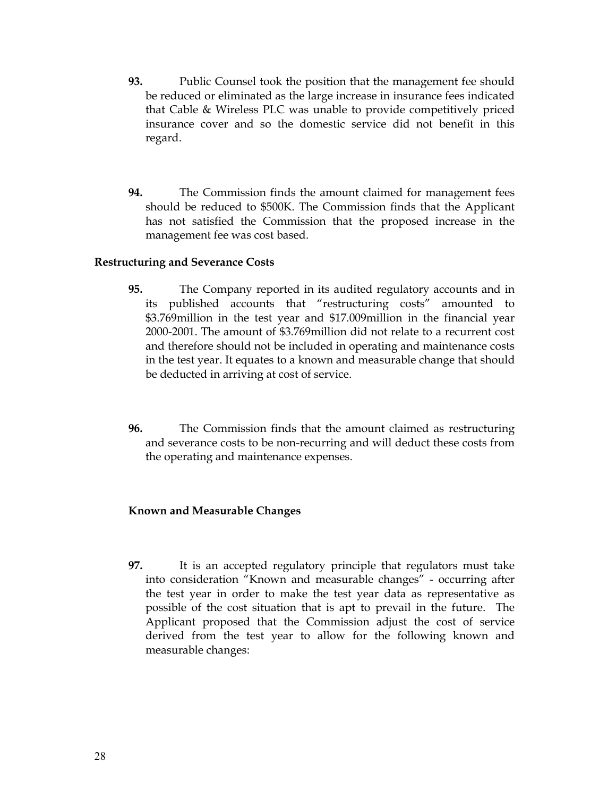- **93.** Public Counsel took the position that the management fee should be reduced or eliminated as the large increase in insurance fees indicated that Cable & Wireless PLC was unable to provide competitively priced insurance cover and so the domestic service did not benefit in this regard.
- **94.** The Commission finds the amount claimed for management fees should be reduced to \$500K. The Commission finds that the Applicant has not satisfied the Commission that the proposed increase in the management fee was cost based.

### **Restructuring and Severance Costs**

- **95.** The Company reported in its audited regulatory accounts and in its published accounts that "restructuring costs" amounted to \$3.769million in the test year and \$17.009million in the financial year 2000-2001. The amount of \$3.769million did not relate to a recurrent cost and therefore should not be included in operating and maintenance costs in the test year. It equates to a known and measurable change that should be deducted in arriving at cost of service.
- **96.** The Commission finds that the amount claimed as restructuring and severance costs to be non-recurring and will deduct these costs from the operating and maintenance expenses.

### **Known and Measurable Changes**

**97.** It is an accepted regulatory principle that regulators must take into consideration "Known and measurable changes" - occurring after the test year in order to make the test year data as representative as possible of the cost situation that is apt to prevail in the future. The Applicant proposed that the Commission adjust the cost of service derived from the test year to allow for the following known and measurable changes: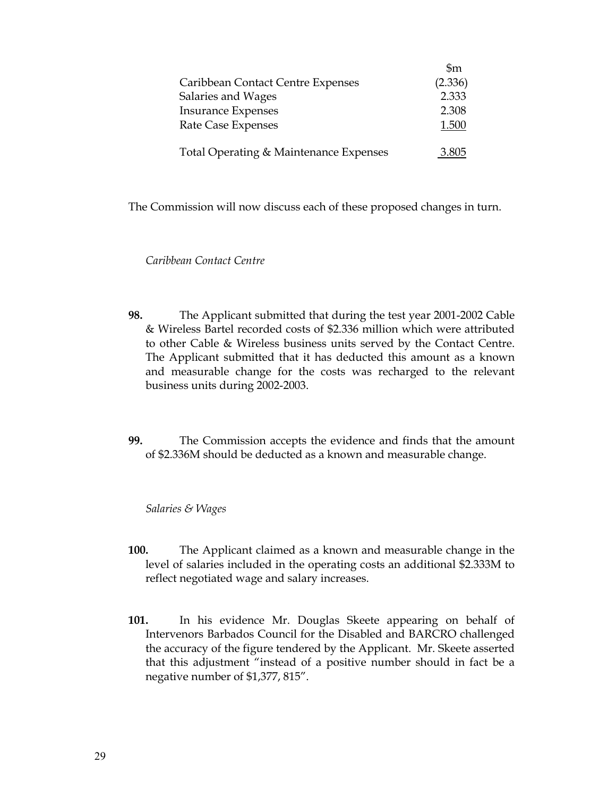|                                        | $\mathfrak{m}$ |
|----------------------------------------|----------------|
| Caribbean Contact Centre Expenses      | (2.336)        |
| Salaries and Wages                     | 2.333          |
| <b>Insurance Expenses</b>              | 2.308          |
| Rate Case Expenses                     | 1.500          |
| Total Operating & Maintenance Expenses | 3.805          |

The Commission will now discuss each of these proposed changes in turn.

*Caribbean Contact Centre* 

- **98.** The Applicant submitted that during the test year 2001-2002 Cable & Wireless Bartel recorded costs of \$2.336 million which were attributed to other Cable & Wireless business units served by the Contact Centre. The Applicant submitted that it has deducted this amount as a known and measurable change for the costs was recharged to the relevant business units during 2002-2003.
- **99.** The Commission accepts the evidence and finds that the amount of \$2.336M should be deducted as a known and measurable change.

*Salaries & Wages*

- **100.** The Applicant claimed as a known and measurable change in the level of salaries included in the operating costs an additional \$2.333M to reflect negotiated wage and salary increases.
- **101.** In his evidence Mr. Douglas Skeete appearing on behalf of Intervenors Barbados Council for the Disabled and BARCRO challenged the accuracy of the figure tendered by the Applicant. Mr. Skeete asserted that this adjustment "instead of a positive number should in fact be a negative number of \$1,377, 815".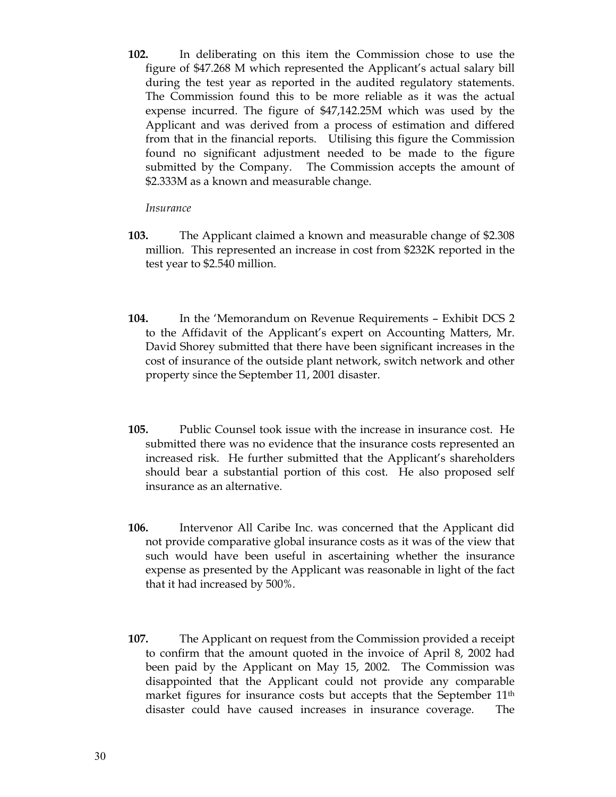**102.** In deliberating on this item the Commission chose to use the figure of \$47.268 M which represented the Applicant's actual salary bill during the test year as reported in the audited regulatory statements. The Commission found this to be more reliable as it was the actual expense incurred. The figure of \$47,142.25M which was used by the Applicant and was derived from a process of estimation and differed from that in the financial reports. Utilising this figure the Commission found no significant adjustment needed to be made to the figure submitted by the Company. The Commission accepts the amount of \$2.333M as a known and measurable change.

### *Insurance*

- **103.** The Applicant claimed a known and measurable change of \$2.308 million. This represented an increase in cost from \$232K reported in the test year to \$2.540 million.
- **104.** In the 'Memorandum on Revenue Requirements Exhibit DCS 2 to the Affidavit of the Applicant's expert on Accounting Matters, Mr. David Shorey submitted that there have been significant increases in the cost of insurance of the outside plant network, switch network and other property since the September 11, 2001 disaster.
- **105.** Public Counsel took issue with the increase in insurance cost. He submitted there was no evidence that the insurance costs represented an increased risk. He further submitted that the Applicant's shareholders should bear a substantial portion of this cost. He also proposed self insurance as an alternative.
- **106.** Intervenor All Caribe Inc. was concerned that the Applicant did not provide comparative global insurance costs as it was of the view that such would have been useful in ascertaining whether the insurance expense as presented by the Applicant was reasonable in light of the fact that it had increased by 500%.
- **107.** The Applicant on request from the Commission provided a receipt to confirm that the amount quoted in the invoice of April 8, 2002 had been paid by the Applicant on May 15, 2002. The Commission was disappointed that the Applicant could not provide any comparable market figures for insurance costs but accepts that the September 11<sup>th</sup> disaster could have caused increases in insurance coverage. The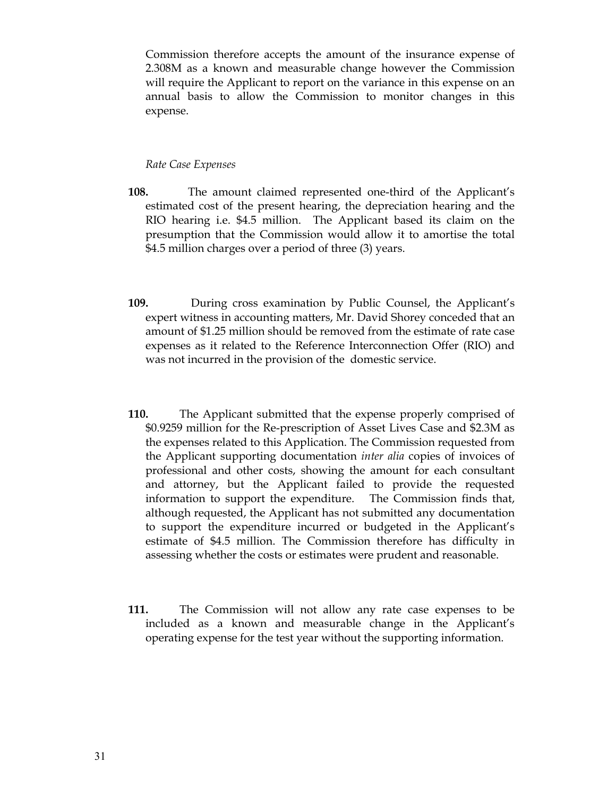Commission therefore accepts the amount of the insurance expense of 2.308M as a known and measurable change however the Commission will require the Applicant to report on the variance in this expense on an annual basis to allow the Commission to monitor changes in this expense.

#### *Rate Case Expenses*

- **108.** The amount claimed represented one-third of the Applicant's estimated cost of the present hearing, the depreciation hearing and the RIO hearing i.e. \$4.5 million. The Applicant based its claim on the presumption that the Commission would allow it to amortise the total \$4.5 million charges over a period of three (3) years.
- **109.** During cross examination by Public Counsel, the Applicant's expert witness in accounting matters, Mr. David Shorey conceded that an amount of \$1.25 million should be removed from the estimate of rate case expenses as it related to the Reference Interconnection Offer (RIO) and was not incurred in the provision of the domestic service.
- **110.** The Applicant submitted that the expense properly comprised of \$0.9259 million for the Re-prescription of Asset Lives Case and \$2.3M as the expenses related to this Application. The Commission requested from the Applicant supporting documentation *inter alia* copies of invoices of professional and other costs, showing the amount for each consultant and attorney, but the Applicant failed to provide the requested information to support the expenditure. The Commission finds that, although requested, the Applicant has not submitted any documentation to support the expenditure incurred or budgeted in the Applicant's estimate of \$4.5 million. The Commission therefore has difficulty in assessing whether the costs or estimates were prudent and reasonable.
- **111.** The Commission will not allow any rate case expenses to be included as a known and measurable change in the Applicant's operating expense for the test year without the supporting information.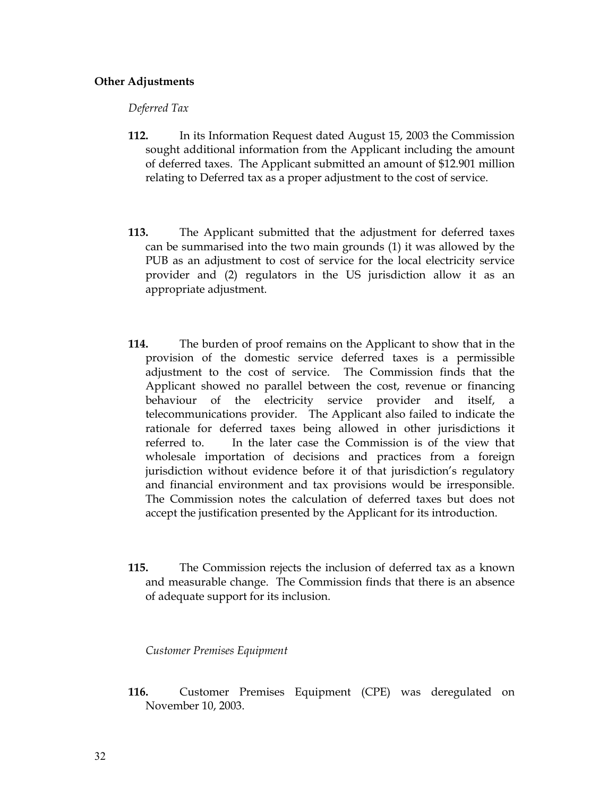### **Other Adjustments**

*Deferred Tax* 

- **112.** In its Information Request dated August 15, 2003 the Commission sought additional information from the Applicant including the amount of deferred taxes. The Applicant submitted an amount of \$12.901 million relating to Deferred tax as a proper adjustment to the cost of service.
- **113.** The Applicant submitted that the adjustment for deferred taxes can be summarised into the two main grounds (1) it was allowed by the PUB as an adjustment to cost of service for the local electricity service provider and (2) regulators in the US jurisdiction allow it as an appropriate adjustment.
- **114.** The burden of proof remains on the Applicant to show that in the provision of the domestic service deferred taxes is a permissible adjustment to the cost of service. The Commission finds that the Applicant showed no parallel between the cost, revenue or financing behaviour of the electricity service provider and itself, a telecommunications provider. The Applicant also failed to indicate the rationale for deferred taxes being allowed in other jurisdictions it referred to. In the later case the Commission is of the view that wholesale importation of decisions and practices from a foreign jurisdiction without evidence before it of that jurisdiction's regulatory and financial environment and tax provisions would be irresponsible. The Commission notes the calculation of deferred taxes but does not accept the justification presented by the Applicant for its introduction.
- **115.** The Commission rejects the inclusion of deferred tax as a known and measurable change. The Commission finds that there is an absence of adequate support for its inclusion.

*Customer Premises Equipment* 

**116.** Customer Premises Equipment (CPE) was deregulated on November 10, 2003.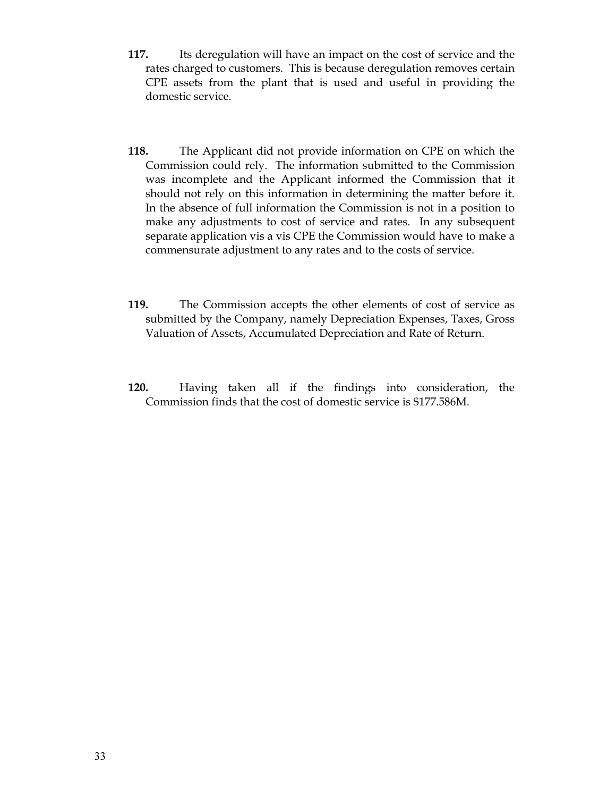- **117.** Its deregulation will have an impact on the cost of service and the rates charged to customers. This is because deregulation removes certain CPE assets from the plant that is used and useful in providing the domestic service.
- **118.** The Applicant did not provide information on CPE on which the Commission could rely. The information submitted to the Commission was incomplete and the Applicant informed the Commission that it should not rely on this information in determining the matter before it. In the absence of full information the Commission is not in a position to make any adjustments to cost of service and rates. In any subsequent separate application vis a vis CPE the Commission would have to make a commensurate adjustment to any rates and to the costs of service.
- **119.** The Commission accepts the other elements of cost of service as submitted by the Company, namely Depreciation Expenses, Taxes, Gross Valuation of Assets, Accumulated Depreciation and Rate of Return.
- **120.** Having taken all if the findings into consideration, the Commission finds that the cost of domestic service is \$177.586M.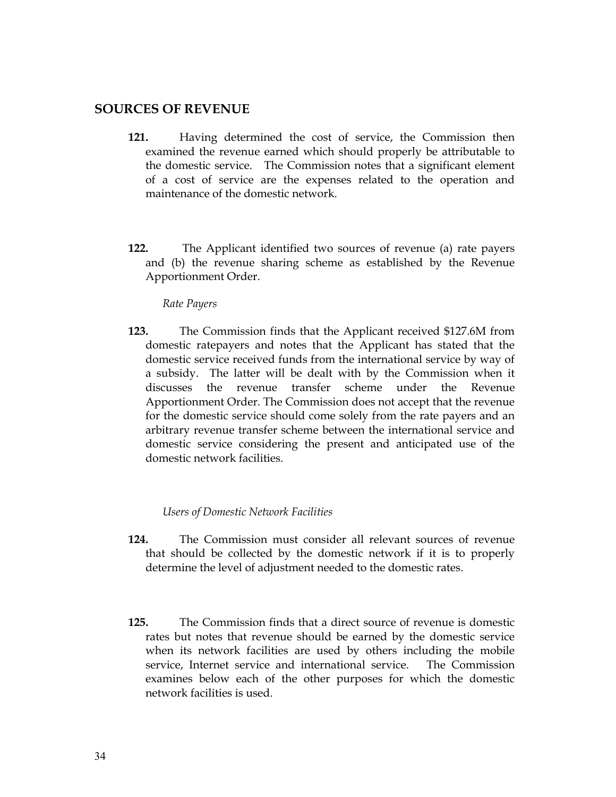### **SOURCES OF REVENUE**

- **121.** Having determined the cost of service, the Commission then examined the revenue earned which should properly be attributable to the domestic service. The Commission notes that a significant element of a cost of service are the expenses related to the operation and maintenance of the domestic network.
- **122.** The Applicant identified two sources of revenue (a) rate payers and (b) the revenue sharing scheme as established by the Revenue Apportionment Order.

*Rate Payers* 

**123.** The Commission finds that the Applicant received \$127.6M from domestic ratepayers and notes that the Applicant has stated that the domestic service received funds from the international service by way of a subsidy. The latter will be dealt with by the Commission when it discusses the revenue transfer scheme under the Revenue Apportionment Order. The Commission does not accept that the revenue for the domestic service should come solely from the rate payers and an arbitrary revenue transfer scheme between the international service and domestic service considering the present and anticipated use of the domestic network facilities.

### *Users of Domestic Network Facilities*

- **124.** The Commission must consider all relevant sources of revenue that should be collected by the domestic network if it is to properly determine the level of adjustment needed to the domestic rates.
- **125.** The Commission finds that a direct source of revenue is domestic rates but notes that revenue should be earned by the domestic service when its network facilities are used by others including the mobile service, Internet service and international service. The Commission examines below each of the other purposes for which the domestic network facilities is used.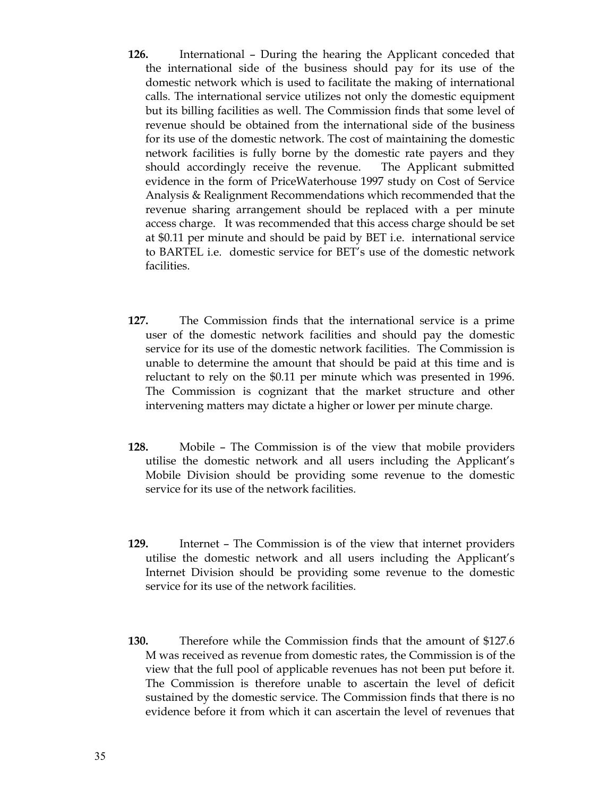- **126.** International During the hearing the Applicant conceded that the international side of the business should pay for its use of the domestic network which is used to facilitate the making of international calls. The international service utilizes not only the domestic equipment but its billing facilities as well. The Commission finds that some level of revenue should be obtained from the international side of the business for its use of the domestic network. The cost of maintaining the domestic network facilities is fully borne by the domestic rate payers and they should accordingly receive the revenue. The Applicant submitted evidence in the form of PriceWaterhouse 1997 study on Cost of Service Analysis & Realignment Recommendations which recommended that the revenue sharing arrangement should be replaced with a per minute access charge. It was recommended that this access charge should be set at \$0.11 per minute and should be paid by BET i.e. international service to BARTEL i.e. domestic service for BET's use of the domestic network facilities.
- **127.** The Commission finds that the international service is a prime user of the domestic network facilities and should pay the domestic service for its use of the domestic network facilities. The Commission is unable to determine the amount that should be paid at this time and is reluctant to rely on the \$0.11 per minute which was presented in 1996. The Commission is cognizant that the market structure and other intervening matters may dictate a higher or lower per minute charge.
- **128.** Mobile The Commission is of the view that mobile providers utilise the domestic network and all users including the Applicant's Mobile Division should be providing some revenue to the domestic service for its use of the network facilities.
- **129.** Internet The Commission is of the view that internet providers utilise the domestic network and all users including the Applicant's Internet Division should be providing some revenue to the domestic service for its use of the network facilities.
- **130.** Therefore while the Commission finds that the amount of \$127.6 M was received as revenue from domestic rates, the Commission is of the view that the full pool of applicable revenues has not been put before it. The Commission is therefore unable to ascertain the level of deficit sustained by the domestic service. The Commission finds that there is no evidence before it from which it can ascertain the level of revenues that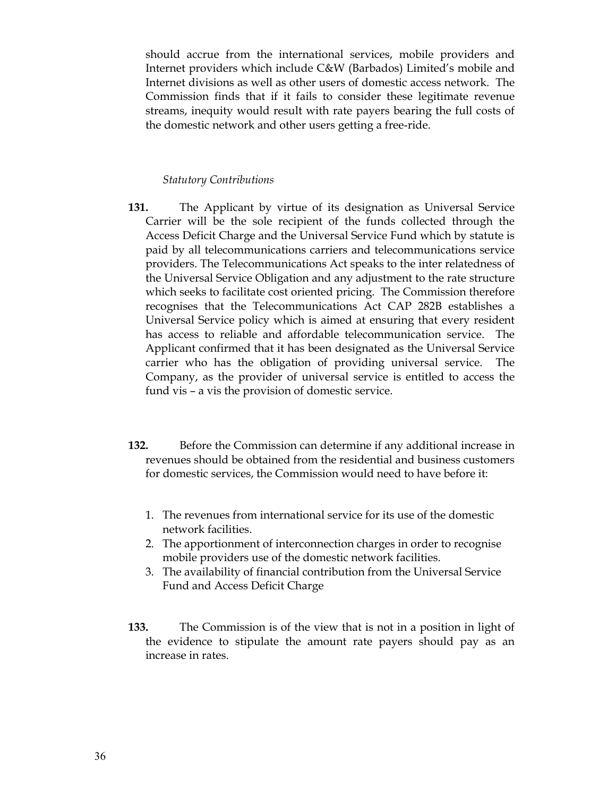should accrue from the international services, mobile providers and Internet providers which include C&W (Barbados) Limited's mobile and Internet divisions as well as other users of domestic access network. The Commission finds that if it fails to consider these legitimate revenue streams, inequity would result with rate payers bearing the full costs of the domestic network and other users getting a free-ride.

#### *Statutory Contributions*

- **131.** The Applicant by virtue of its designation as Universal Service Carrier will be the sole recipient of the funds collected through the Access Deficit Charge and the Universal Service Fund which by statute is paid by all telecommunications carriers and telecommunications service providers. The Telecommunications Act speaks to the inter relatedness of the Universal Service Obligation and any adjustment to the rate structure which seeks to facilitate cost oriented pricing. The Commission therefore recognises that the Telecommunications Act CAP 282B establishes a Universal Service policy which is aimed at ensuring that every resident has access to reliable and affordable telecommunication service. The Applicant confirmed that it has been designated as the Universal Service carrier who has the obligation of providing universal service. The Company, as the provider of universal service is entitled to access the fund vis – a vis the provision of domestic service.
- **132.** Before the Commission can determine if any additional increase in revenues should be obtained from the residential and business customers for domestic services, the Commission would need to have before it:
	- 1. The revenues from international service for its use of the domestic network facilities.
	- 2. The apportionment of interconnection charges in order to recognise mobile providers use of the domestic network facilities.
	- 3. The availability of financial contribution from the Universal Service Fund and Access Deficit Charge
- **133.** The Commission is of the view that is not in a position in light of the evidence to stipulate the amount rate payers should pay as an increase in rates.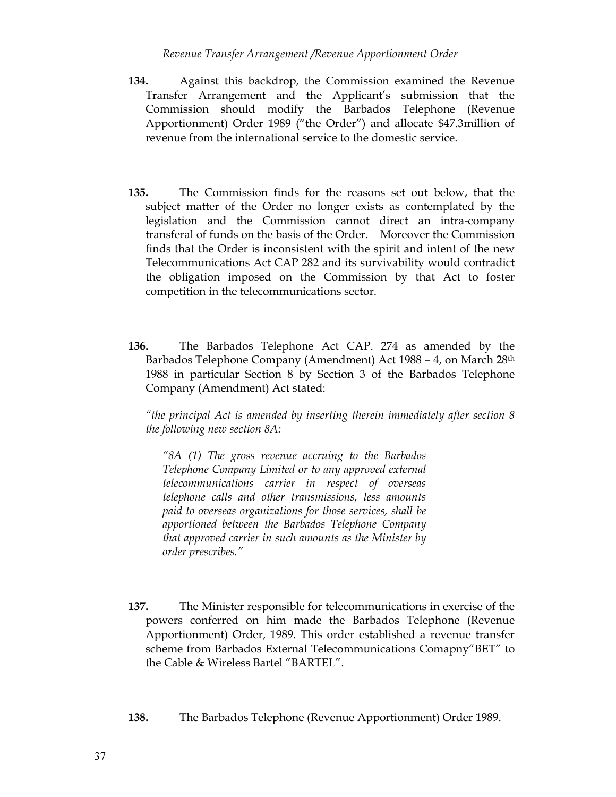### *Revenue Transfer Arrangement /Revenue Apportionment Order*

- **134.** Against this backdrop, the Commission examined the Revenue Transfer Arrangement and the Applicant's submission that the Commission should modify the Barbados Telephone (Revenue Apportionment) Order 1989 ("the Order") and allocate \$47.3million of revenue from the international service to the domestic service.
- **135.** The Commission finds for the reasons set out below, that the subject matter of the Order no longer exists as contemplated by the legislation and the Commission cannot direct an intra-company transferal of funds on the basis of the Order. Moreover the Commission finds that the Order is inconsistent with the spirit and intent of the new Telecommunications Act CAP 282 and its survivability would contradict the obligation imposed on the Commission by that Act to foster competition in the telecommunications sector.
- **136.** The Barbados Telephone Act CAP. 274 as amended by the Barbados Telephone Company (Amendment) Act 1988 - 4, on March 28<sup>th</sup> 1988 in particular Section 8 by Section 3 of the Barbados Telephone Company (Amendment) Act stated:

*"the principal Act is amended by inserting therein immediately after section 8 the following new section 8A:* 

*"8A (1) The gross revenue accruing to the Barbados Telephone Company Limited or to any approved external telecommunications carrier in respect of overseas telephone calls and other transmissions, less amounts paid to overseas organizations for those services, shall be apportioned between the Barbados Telephone Company that approved carrier in such amounts as the Minister by order prescribes."* 

- **137.** The Minister responsible for telecommunications in exercise of the powers conferred on him made the Barbados Telephone (Revenue Apportionment) Order, 1989. This order established a revenue transfer scheme from Barbados External Telecommunications Comapny"BET" to the Cable & Wireless Bartel "BARTEL".
- **138.** The Barbados Telephone (Revenue Apportionment) Order 1989.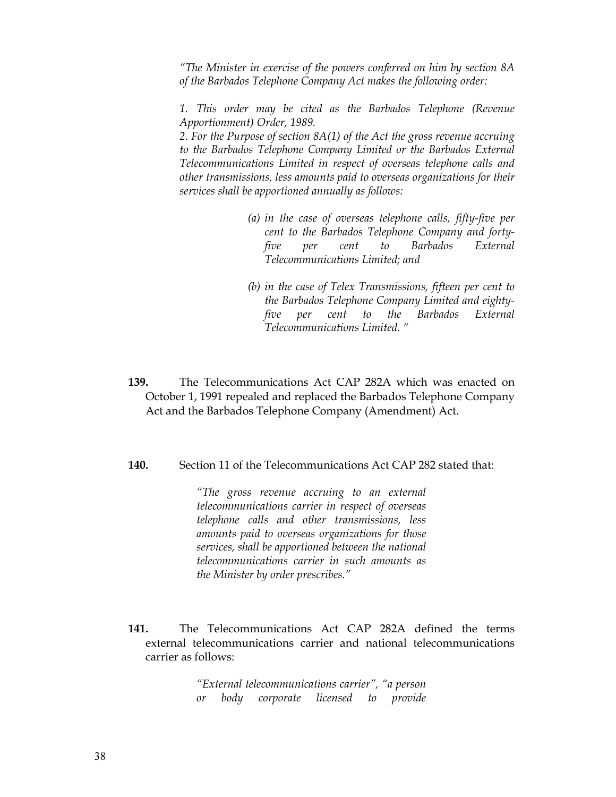*"The Minister in exercise of the powers conferred on him by section 8A of the Barbados Telephone Company Act makes the following order:* 

*1. This order may be cited as the Barbados Telephone (Revenue Apportionment) Order, 1989.* 

*2. For the Purpose of section 8A(1) of the Act the gross revenue accruing to the Barbados Telephone Company Limited or the Barbados External Telecommunications Limited in respect of overseas telephone calls and other transmissions, less amounts paid to overseas organizations for their services shall be apportioned annually as follows:* 

- *(a) in the case of overseas telephone calls, fifty-five per cent to the Barbados Telephone Company and fortyfive per cent to Barbados External Telecommunications Limited; and*
- *(b) in the case of Telex Transmissions, fifteen per cent to the Barbados Telephone Company Limited and eightyfive per cent to the Barbados External Telecommunications Limited. "*
- **139.** The Telecommunications Act CAP 282A which was enacted on October 1, 1991 repealed and replaced the Barbados Telephone Company Act and the Barbados Telephone Company (Amendment) Act.
- **140.** Section 11 of the Telecommunications Act CAP 282 stated that:

*"The gross revenue accruing to an external telecommunications carrier in respect of overseas telephone calls and other transmissions, less amounts paid to overseas organizations for those services, shall be apportioned between the national telecommunications carrier in such amounts as the Minister by order prescribes."* 

**141.** The Telecommunications Act CAP 282A defined the terms external telecommunications carrier and national telecommunications carrier as follows:

> *"External telecommunications carrier", "a person or body corporate licensed to provide*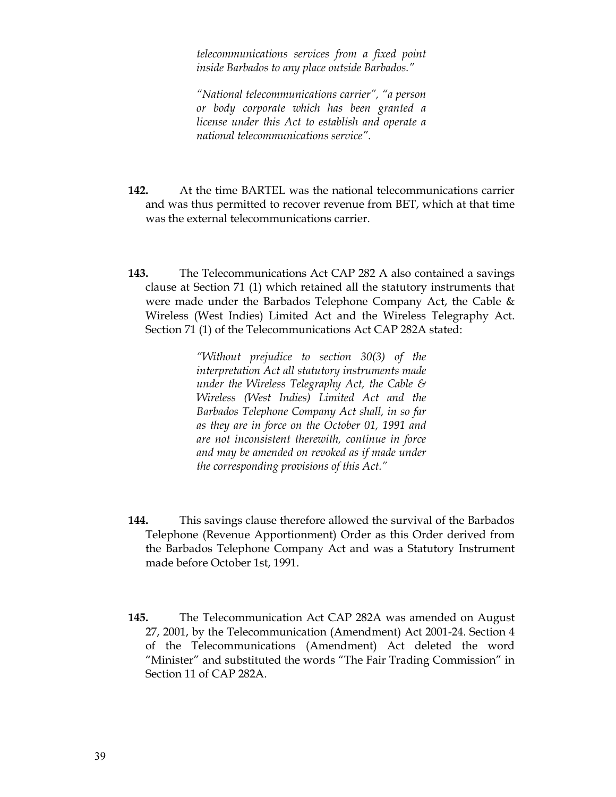*telecommunications services from a fixed point inside Barbados to any place outside Barbados."* 

*"National telecommunications carrier", "a person or body corporate which has been granted a license under this Act to establish and operate a national telecommunications service".* 

- **142.** At the time BARTEL was the national telecommunications carrier and was thus permitted to recover revenue from BET, which at that time was the external telecommunications carrier.
- **143.** The Telecommunications Act CAP 282 A also contained a savings clause at Section 71 (1) which retained all the statutory instruments that were made under the Barbados Telephone Company Act, the Cable & Wireless (West Indies) Limited Act and the Wireless Telegraphy Act. Section 71 (1) of the Telecommunications Act CAP 282A stated:

*"Without prejudice to section 30(3) of the interpretation Act all statutory instruments made under the Wireless Telegraphy Act, the Cable & Wireless (West Indies) Limited Act and the Barbados Telephone Company Act shall, in so far as they are in force on the October 01, 1991 and are not inconsistent therewith, continue in force and may be amended on revoked as if made under the corresponding provisions of this Act."* 

- **144.** This savings clause therefore allowed the survival of the Barbados Telephone (Revenue Apportionment) Order as this Order derived from the Barbados Telephone Company Act and was a Statutory Instrument made before October 1st, 1991.
- **145.** The Telecommunication Act CAP 282A was amended on August 27, 2001, by the Telecommunication (Amendment) Act 2001-24. Section 4 of the Telecommunications (Amendment) Act deleted the word "Minister" and substituted the words "The Fair Trading Commission" in Section 11 of CAP 282A.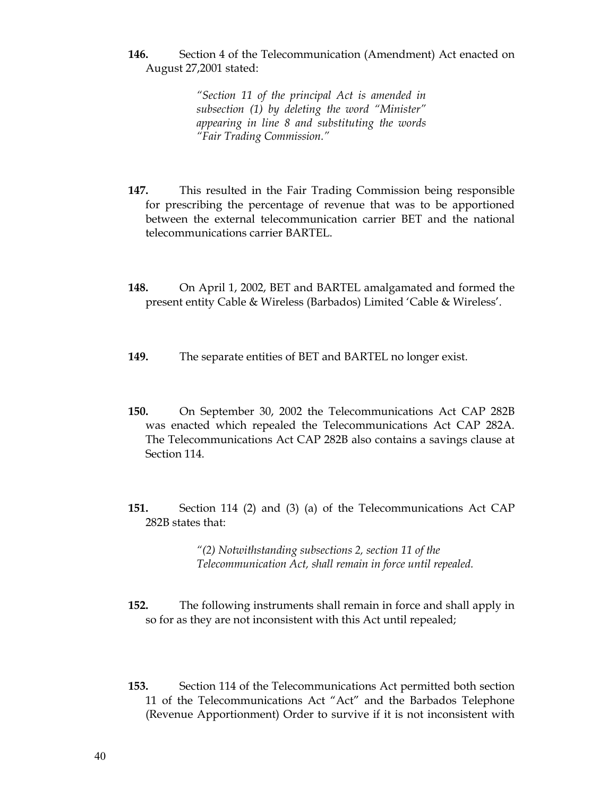**146.** Section 4 of the Telecommunication (Amendment) Act enacted on August 27,2001 stated:

> *"Section 11 of the principal Act is amended in subsection (1) by deleting the word "Minister" appearing in line 8 and substituting the words "Fair Trading Commission."*

- **147.** This resulted in the Fair Trading Commission being responsible for prescribing the percentage of revenue that was to be apportioned between the external telecommunication carrier BET and the national telecommunications carrier BARTEL.
- **148.** On April 1, 2002, BET and BARTEL amalgamated and formed the present entity Cable & Wireless (Barbados) Limited 'Cable & Wireless'.
- **149.** The separate entities of BET and BARTEL no longer exist.
- **150.** On September 30, 2002 the Telecommunications Act CAP 282B was enacted which repealed the Telecommunications Act CAP 282A. The Telecommunications Act CAP 282B also contains a savings clause at Section 114.
- **151.** Section 114 (2) and (3) (a) of the Telecommunications Act CAP 282B states that:

*"(2) Notwithstanding subsections 2, section 11 of the Telecommunication Act, shall remain in force until repealed.* 

- **152.** The following instruments shall remain in force and shall apply in so for as they are not inconsistent with this Act until repealed;
- **153.** Section 114 of the Telecommunications Act permitted both section 11 of the Telecommunications Act "Act" and the Barbados Telephone (Revenue Apportionment) Order to survive if it is not inconsistent with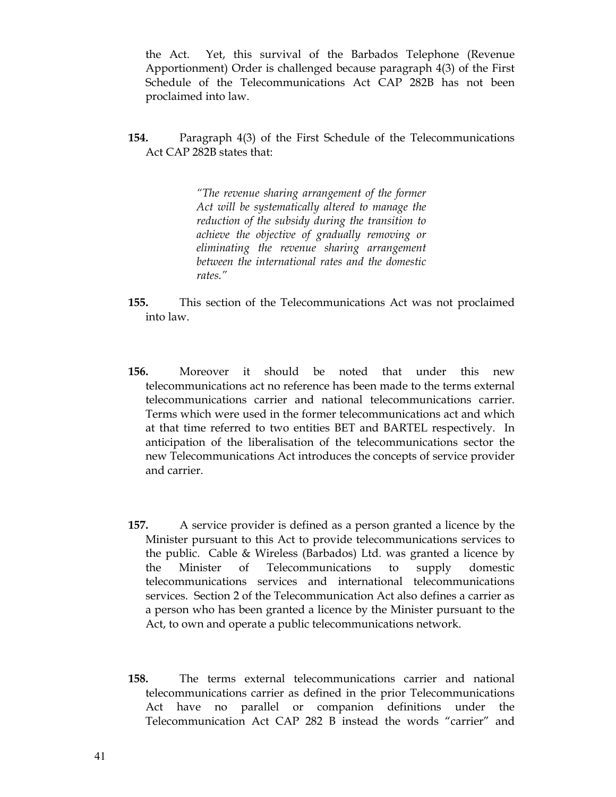the Act. Yet, this survival of the Barbados Telephone (Revenue Apportionment) Order is challenged because paragraph 4(3) of the First Schedule of the Telecommunications Act CAP 282B has not been proclaimed into law.

**154.** Paragraph 4(3) of the First Schedule of the Telecommunications Act CAP 282B states that:

> *"The revenue sharing arrangement of the former Act will be systematically altered to manage the reduction of the subsidy during the transition to achieve the objective of gradually removing or eliminating the revenue sharing arrangement between the international rates and the domestic rates."*

- **155.** This section of the Telecommunications Act was not proclaimed into law.
- **156.** Moreover it should be noted that under this new telecommunications act no reference has been made to the terms external telecommunications carrier and national telecommunications carrier. Terms which were used in the former telecommunications act and which at that time referred to two entities BET and BARTEL respectively. In anticipation of the liberalisation of the telecommunications sector the new Telecommunications Act introduces the concepts of service provider and carrier.
- **157.** A service provider is defined as a person granted a licence by the Minister pursuant to this Act to provide telecommunications services to the public. Cable & Wireless (Barbados) Ltd. was granted a licence by the Minister of Telecommunications to supply domestic telecommunications services and international telecommunications services. Section 2 of the Telecommunication Act also defines a carrier as a person who has been granted a licence by the Minister pursuant to the Act, to own and operate a public telecommunications network.
- **158.** The terms external telecommunications carrier and national telecommunications carrier as defined in the prior Telecommunications Act have no parallel or companion definitions under the Telecommunication Act CAP 282 B instead the words "carrier" and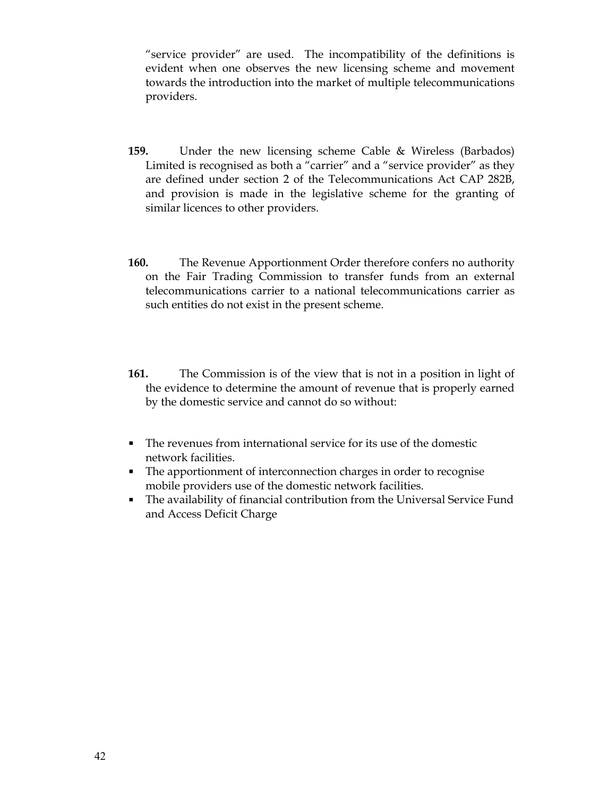"service provider" are used. The incompatibility of the definitions is evident when one observes the new licensing scheme and movement towards the introduction into the market of multiple telecommunications providers.

- **159.** Under the new licensing scheme Cable & Wireless (Barbados) Limited is recognised as both a "carrier" and a "service provider" as they are defined under section 2 of the Telecommunications Act CAP 282B, and provision is made in the legislative scheme for the granting of similar licences to other providers.
- **160.** The Revenue Apportionment Order therefore confers no authority on the Fair Trading Commission to transfer funds from an external telecommunications carrier to a national telecommunications carrier as such entities do not exist in the present scheme.
- **161.** The Commission is of the view that is not in a position in light of the evidence to determine the amount of revenue that is properly earned by the domestic service and cannot do so without:
- The revenues from international service for its use of the domestic network facilities.
- The apportionment of interconnection charges in order to recognise mobile providers use of the domestic network facilities.
- The availability of financial contribution from the Universal Service Fund and Access Deficit Charge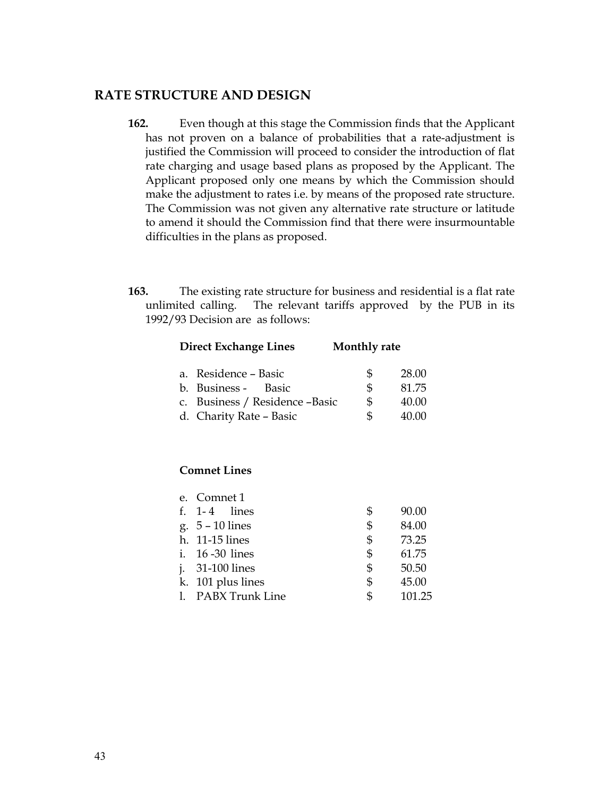## **RATE STRUCTURE AND DESIGN**

- **162.** Even though at this stage the Commission finds that the Applicant has not proven on a balance of probabilities that a rate-adjustment is justified the Commission will proceed to consider the introduction of flat rate charging and usage based plans as proposed by the Applicant. The Applicant proposed only one means by which the Commission should make the adjustment to rates i.e. by means of the proposed rate structure. The Commission was not given any alternative rate structure or latitude to amend it should the Commission find that there were insurmountable difficulties in the plans as proposed.
- **163.** The existing rate structure for business and residential is a flat rate unlimited calling. The relevant tariffs approved by the PUB in its 1992/93 Decision are as follows:

| <b>Direct Exchange Lines</b>    | Monthly rate |       |
|---------------------------------|--------------|-------|
| a. Residence - Basic            | S            | 28.00 |
| b. Business - Basic             | \$.          | 81.75 |
| c. Business / Residence - Basic | \$           | 40.00 |
| d. Charity Rate - Basic         | \$.          | 40.00 |

### **Comnet Lines**

| e. Comnet 1        |              |
|--------------------|--------------|
| f. $1-4$ lines     | \$<br>90.00  |
| g. $5 - 10$ lines  | \$<br>84.00  |
| h. 11-15 lines     | \$<br>73.25  |
| i. 16 -30 lines    | \$<br>61.75  |
| j. 31-100 lines    | \$<br>50.50  |
| k. 101 plus lines  | \$<br>45.00  |
| 1. PABX Trunk Line | \$<br>101.25 |
|                    |              |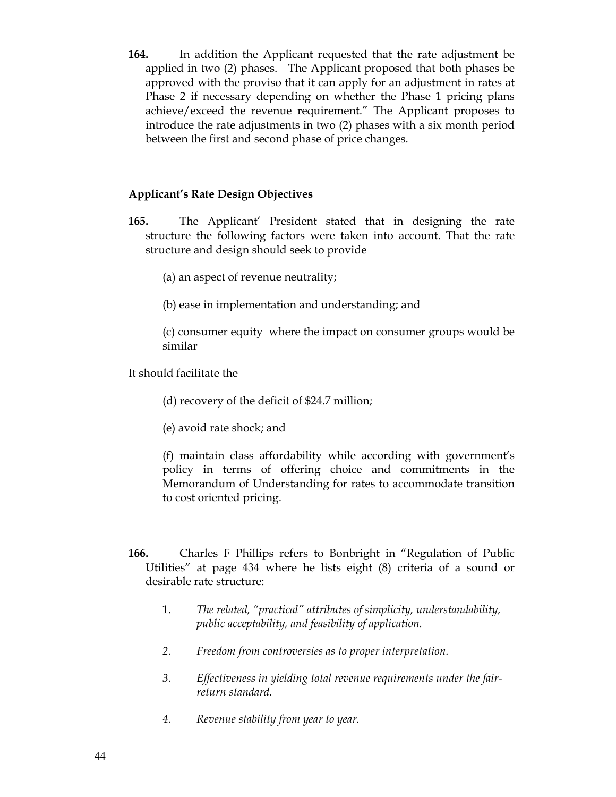**164.** In addition the Applicant requested that the rate adjustment be applied in two (2) phases. The Applicant proposed that both phases be approved with the proviso that it can apply for an adjustment in rates at Phase 2 if necessary depending on whether the Phase 1 pricing plans achieve/exceed the revenue requirement." The Applicant proposes to introduce the rate adjustments in two (2) phases with a six month period between the first and second phase of price changes.

## **Applicant's Rate Design Objectives**

- **165.** The Applicant' President stated that in designing the rate structure the following factors were taken into account. That the rate structure and design should seek to provide
	- (a) an aspect of revenue neutrality;
	- (b) ease in implementation and understanding; and

(c) consumer equity where the impact on consumer groups would be similar

It should facilitate the

- (d) recovery of the deficit of \$24.7 million;
- (e) avoid rate shock; and

(f) maintain class affordability while according with government's policy in terms of offering choice and commitments in the Memorandum of Understanding for rates to accommodate transition to cost oriented pricing.

- **166.** Charles F Phillips refers to Bonbright in "Regulation of Public Utilities" at page 434 where he lists eight (8) criteria of a sound or desirable rate structure:
	- 1. *The related, "practical" attributes of simplicity, understandability, public acceptability, and feasibility of application.*
	- *2. Freedom from controversies as to proper interpretation.*
	- *3. Effectiveness in yielding total revenue requirements under the fairreturn standard.*
	- *4. Revenue stability from year to year.*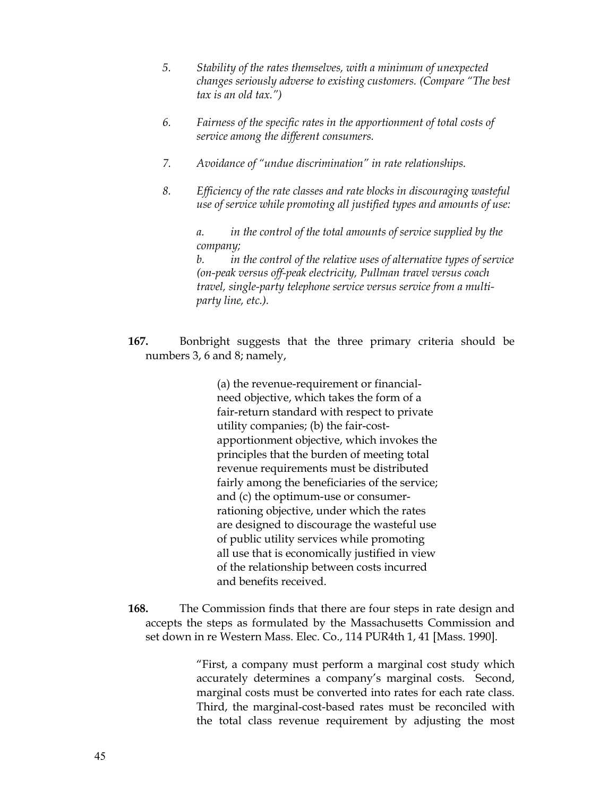- *5. Stability of the rates themselves, with a minimum of unexpected changes seriously adverse to existing customers. (Compare "The best tax is an old tax.")*
- *6. Fairness of the specific rates in the apportionment of total costs of service among the different consumers.*
- *7. Avoidance of "undue discrimination" in rate relationships.*
- *8. Efficiency of the rate classes and rate blocks in discouraging wasteful use of service while promoting all justified types and amounts of use:*

 *a. in the control of the total amounts of service supplied by the company;*

 *b. in the control of the relative uses of alternative types of service (on-peak versus off-peak electricity, Pullman travel versus coach travel, single-party telephone service versus service from a multiparty line, etc.).* 

**167.** Bonbright suggests that the three primary criteria should be numbers 3, 6 and 8; namely,

> (a) the revenue-requirement or financialneed objective, which takes the form of a fair-return standard with respect to private utility companies; (b) the fair-costapportionment objective, which invokes the principles that the burden of meeting total revenue requirements must be distributed fairly among the beneficiaries of the service; and (c) the optimum-use or consumerrationing objective, under which the rates are designed to discourage the wasteful use of public utility services while promoting all use that is economically justified in view of the relationship between costs incurred and benefits received.

**168.** The Commission finds that there are four steps in rate design and accepts the steps as formulated by the Massachusetts Commission and set down in re Western Mass. Elec. Co., 114 PUR4th 1, 41 [Mass. 1990].

> "First, a company must perform a marginal cost study which accurately determines a company's marginal costs. Second, marginal costs must be converted into rates for each rate class. Third, the marginal-cost-based rates must be reconciled with the total class revenue requirement by adjusting the most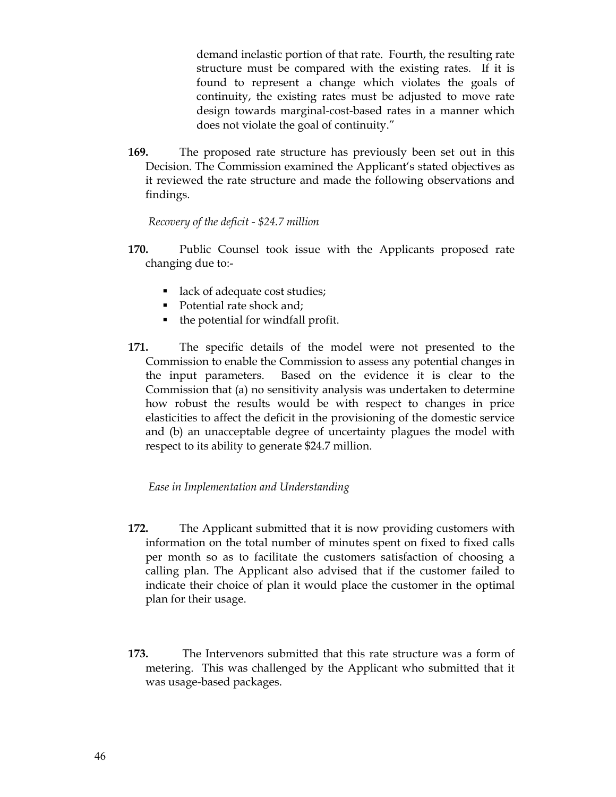demand inelastic portion of that rate. Fourth, the resulting rate structure must be compared with the existing rates. If it is found to represent a change which violates the goals of continuity, the existing rates must be adjusted to move rate design towards marginal-cost-based rates in a manner which does not violate the goal of continuity."

**169.** The proposed rate structure has previously been set out in this Decision. The Commission examined the Applicant's stated objectives as it reviewed the rate structure and made the following observations and findings.

 *Recovery of the deficit - \$24.7 million* 

- **170.** Public Counsel took issue with the Applicants proposed rate changing due to:-
	- lack of adequate cost studies;
	- Potential rate shock and;
	- the potential for windfall profit.
- **171.** The specific details of the model were not presented to the Commission to enable the Commission to assess any potential changes in the input parameters. Based on the evidence it is clear to the Commission that (a) no sensitivity analysis was undertaken to determine how robust the results would be with respect to changes in price elasticities to affect the deficit in the provisioning of the domestic service and (b) an unacceptable degree of uncertainty plagues the model with respect to its ability to generate \$24.7 million.

### *Ease in Implementation and Understanding*

- **172.** The Applicant submitted that it is now providing customers with information on the total number of minutes spent on fixed to fixed calls per month so as to facilitate the customers satisfaction of choosing a calling plan. The Applicant also advised that if the customer failed to indicate their choice of plan it would place the customer in the optimal plan for their usage.
- **173.** The Intervenors submitted that this rate structure was a form of metering. This was challenged by the Applicant who submitted that it was usage-based packages.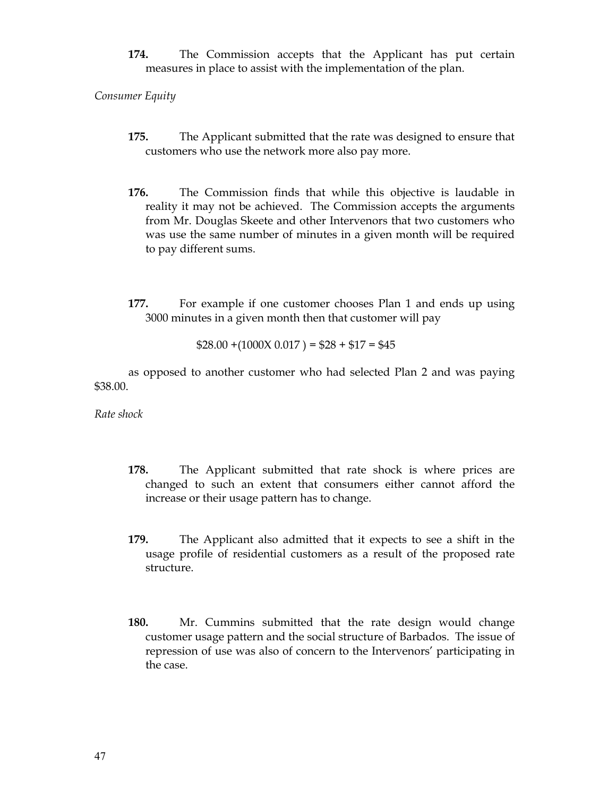**174.** The Commission accepts that the Applicant has put certain measures in place to assist with the implementation of the plan.

*Consumer Equity* 

- **175.** The Applicant submitted that the rate was designed to ensure that customers who use the network more also pay more.
- **176.** The Commission finds that while this objective is laudable in reality it may not be achieved. The Commission accepts the arguments from Mr. Douglas Skeete and other Intervenors that two customers who was use the same number of minutes in a given month will be required to pay different sums.
- **177.** For example if one customer chooses Plan 1 and ends up using 3000 minutes in a given month then that customer will pay

$$
$28.00 + (1000X 0.017) = $28 + $17 = $45
$$

 as opposed to another customer who had selected Plan 2 and was paying \$38.00.

*Rate shock*

- **178.** The Applicant submitted that rate shock is where prices are changed to such an extent that consumers either cannot afford the increase or their usage pattern has to change.
- **179.** The Applicant also admitted that it expects to see a shift in the usage profile of residential customers as a result of the proposed rate structure.
- **180.** Mr. Cummins submitted that the rate design would change customer usage pattern and the social structure of Barbados. The issue of repression of use was also of concern to the Intervenors' participating in the case.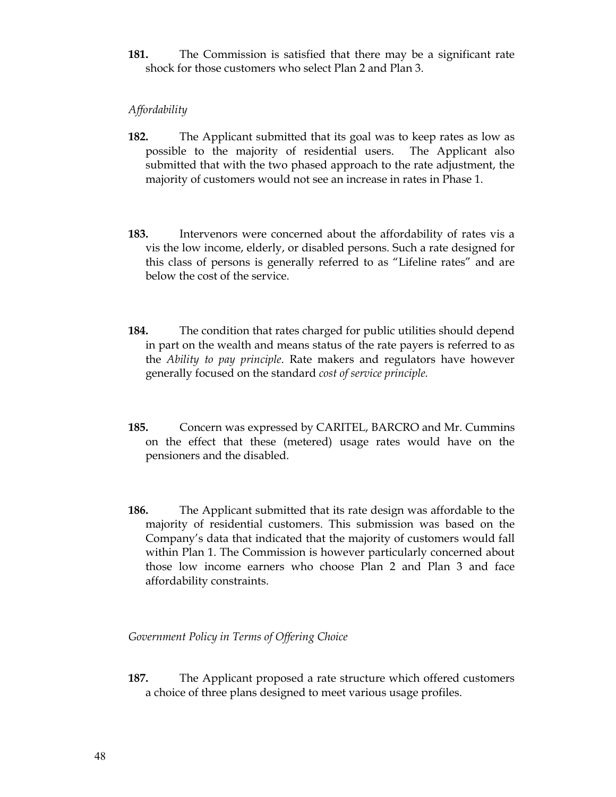**181.** The Commission is satisfied that there may be a significant rate shock for those customers who select Plan 2 and Plan 3.

### *Affordability*

- **182.** The Applicant submitted that its goal was to keep rates as low as possible to the majority of residential users. The Applicant also submitted that with the two phased approach to the rate adjustment, the majority of customers would not see an increase in rates in Phase 1.
- **183.** Intervenors were concerned about the affordability of rates vis a vis the low income, elderly, or disabled persons. Such a rate designed for this class of persons is generally referred to as "Lifeline rates" and are below the cost of the service.
- **184.** The condition that rates charged for public utilities should depend in part on the wealth and means status of the rate payers is referred to as the *Ability to pay principle*. Rate makers and regulators have however generally focused on the standard *cost of service principle.*
- **185.** Concern was expressed by CARITEL, BARCRO and Mr. Cummins on the effect that these (metered) usage rates would have on the pensioners and the disabled.
- **186.** The Applicant submitted that its rate design was affordable to the majority of residential customers. This submission was based on the Company's data that indicated that the majority of customers would fall within Plan 1. The Commission is however particularly concerned about those low income earners who choose Plan 2 and Plan 3 and face affordability constraints.

### *Government Policy in Terms of Offering Choice*

**187.** The Applicant proposed a rate structure which offered customers a choice of three plans designed to meet various usage profiles.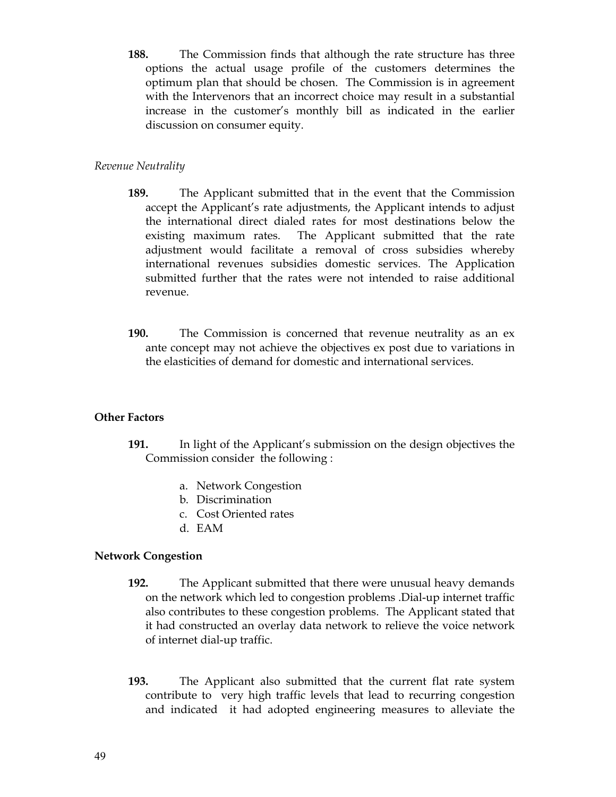**188.** The Commission finds that although the rate structure has three options the actual usage profile of the customers determines the optimum plan that should be chosen. The Commission is in agreement with the Intervenors that an incorrect choice may result in a substantial increase in the customer's monthly bill as indicated in the earlier discussion on consumer equity.

### *Revenue Neutrality*

- **189.** The Applicant submitted that in the event that the Commission accept the Applicant's rate adjustments, the Applicant intends to adjust the international direct dialed rates for most destinations below the existing maximum rates. The Applicant submitted that the rate adjustment would facilitate a removal of cross subsidies whereby international revenues subsidies domestic services. The Application submitted further that the rates were not intended to raise additional revenue.
- **190.** The Commission is concerned that revenue neutrality as an ex ante concept may not achieve the objectives ex post due to variations in the elasticities of demand for domestic and international services.

### **Other Factors**

- **191.** In light of the Applicant's submission on the design objectives the Commission consider the following :
	- a. Network Congestion
	- b. Discrimination
	- c. Cost Oriented rates
	- d. EAM

## **Network Congestion**

- **192.** The Applicant submitted that there were unusual heavy demands on the network which led to congestion problems .Dial-up internet traffic also contributes to these congestion problems. The Applicant stated that it had constructed an overlay data network to relieve the voice network of internet dial-up traffic.
- **193.** The Applicant also submitted that the current flat rate system contribute to very high traffic levels that lead to recurring congestion and indicated it had adopted engineering measures to alleviate the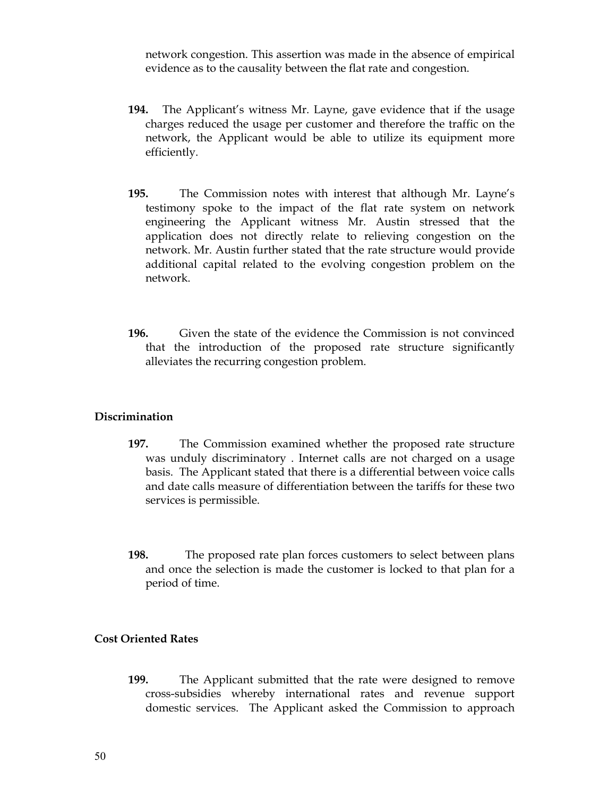network congestion. This assertion was made in the absence of empirical evidence as to the causality between the flat rate and congestion.

- **194.** The Applicant's witness Mr. Layne, gave evidence that if the usage charges reduced the usage per customer and therefore the traffic on the network, the Applicant would be able to utilize its equipment more efficiently.
- **195.** The Commission notes with interest that although Mr. Layne's testimony spoke to the impact of the flat rate system on network engineering the Applicant witness Mr. Austin stressed that the application does not directly relate to relieving congestion on the network. Mr. Austin further stated that the rate structure would provide additional capital related to the evolving congestion problem on the network.
- **196.** Given the state of the evidence the Commission is not convinced that the introduction of the proposed rate structure significantly alleviates the recurring congestion problem.

### **Discrimination**

- **197.** The Commission examined whether the proposed rate structure was unduly discriminatory . Internet calls are not charged on a usage basis. The Applicant stated that there is a differential between voice calls and date calls measure of differentiation between the tariffs for these two services is permissible.
- **198.** The proposed rate plan forces customers to select between plans and once the selection is made the customer is locked to that plan for a period of time.

### **Cost Oriented Rates**

**199.** The Applicant submitted that the rate were designed to remove cross-subsidies whereby international rates and revenue support domestic services. The Applicant asked the Commission to approach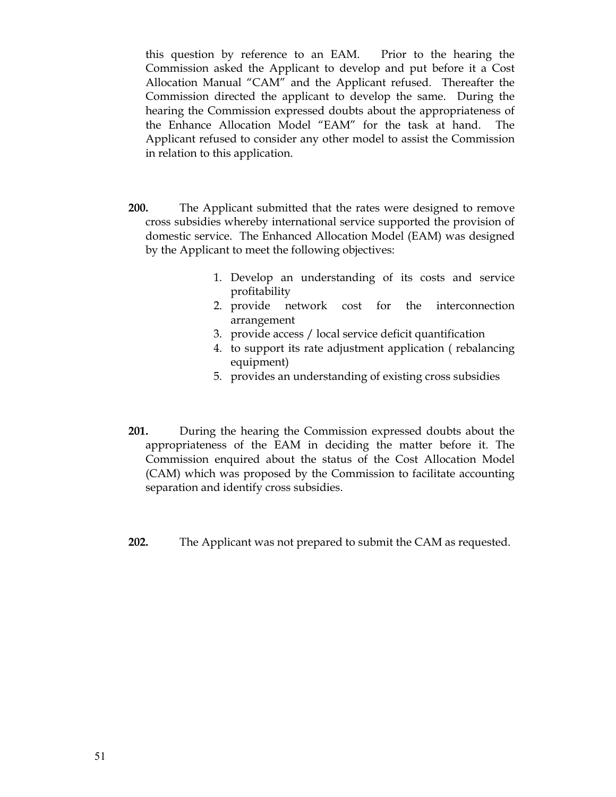this question by reference to an EAM. Prior to the hearing the Commission asked the Applicant to develop and put before it a Cost Allocation Manual "CAM" and the Applicant refused. Thereafter the Commission directed the applicant to develop the same. During the hearing the Commission expressed doubts about the appropriateness of the Enhance Allocation Model "EAM" for the task at hand. The Applicant refused to consider any other model to assist the Commission in relation to this application.

- **200.** The Applicant submitted that the rates were designed to remove cross subsidies whereby international service supported the provision of domestic service. The Enhanced Allocation Model (EAM) was designed by the Applicant to meet the following objectives:
	- 1. Develop an understanding of its costs and service profitability
	- 2. provide network cost for the interconnection arrangement
	- 3. provide access / local service deficit quantification
	- 4. to support its rate adjustment application ( rebalancing equipment)
	- 5. provides an understanding of existing cross subsidies
- **201.** During the hearing the Commission expressed doubts about the appropriateness of the EAM in deciding the matter before it. The Commission enquired about the status of the Cost Allocation Model (CAM) which was proposed by the Commission to facilitate accounting separation and identify cross subsidies.
- **202.** The Applicant was not prepared to submit the CAM as requested.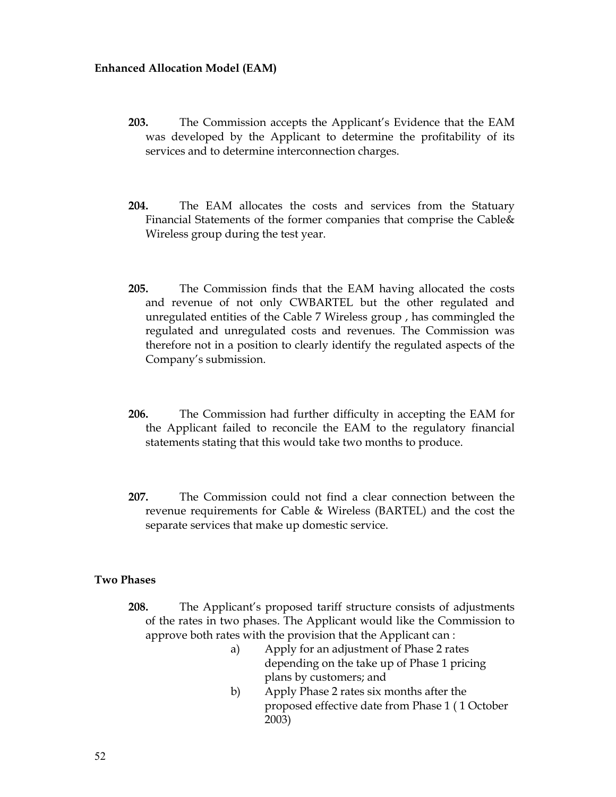### **Enhanced Allocation Model (EAM)**

- **203.** The Commission accepts the Applicant's Evidence that the EAM was developed by the Applicant to determine the profitability of its services and to determine interconnection charges.
- **204.** The EAM allocates the costs and services from the Statuary Financial Statements of the former companies that comprise the Cable& Wireless group during the test year.
- **205.** The Commission finds that the EAM having allocated the costs and revenue of not only CWBARTEL but the other regulated and unregulated entities of the Cable 7 Wireless group , has commingled the regulated and unregulated costs and revenues. The Commission was therefore not in a position to clearly identify the regulated aspects of the Company's submission.
- **206.** The Commission had further difficulty in accepting the EAM for the Applicant failed to reconcile the EAM to the regulatory financial statements stating that this would take two months to produce.
- **207.** The Commission could not find a clear connection between the revenue requirements for Cable & Wireless (BARTEL) and the cost the separate services that make up domestic service.

### **Two Phases**

- **208.** The Applicant's proposed tariff structure consists of adjustments of the rates in two phases. The Applicant would like the Commission to approve both rates with the provision that the Applicant can :
	- a) Apply for an adjustment of Phase 2 rates depending on the take up of Phase 1 pricing plans by customers; and
	- b) Apply Phase 2 rates six months after the proposed effective date from Phase 1 ( 1 October 2003)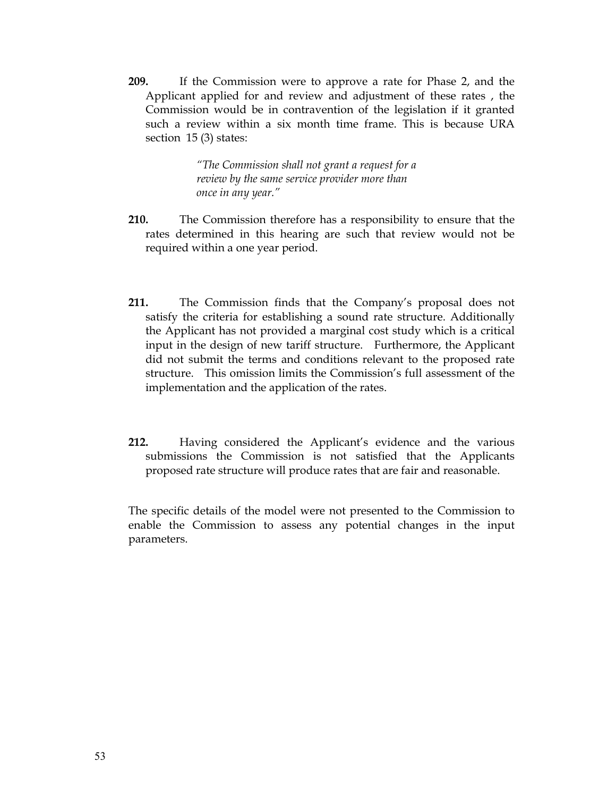**209.** If the Commission were to approve a rate for Phase 2, and the Applicant applied for and review and adjustment of these rates , the Commission would be in contravention of the legislation if it granted such a review within a six month time frame. This is because URA section 15 (3) states:

> *"The Commission shall not grant a request for a review by the same service provider more than once in any year."*

- **210.** The Commission therefore has a responsibility to ensure that the rates determined in this hearing are such that review would not be required within a one year period.
- **211.** The Commission finds that the Company's proposal does not satisfy the criteria for establishing a sound rate structure. Additionally the Applicant has not provided a marginal cost study which is a critical input in the design of new tariff structure. Furthermore, the Applicant did not submit the terms and conditions relevant to the proposed rate structure. This omission limits the Commission's full assessment of the implementation and the application of the rates.
- **212.** Having considered the Applicant's evidence and the various submissions the Commission is not satisfied that the Applicants proposed rate structure will produce rates that are fair and reasonable.

The specific details of the model were not presented to the Commission to enable the Commission to assess any potential changes in the input parameters.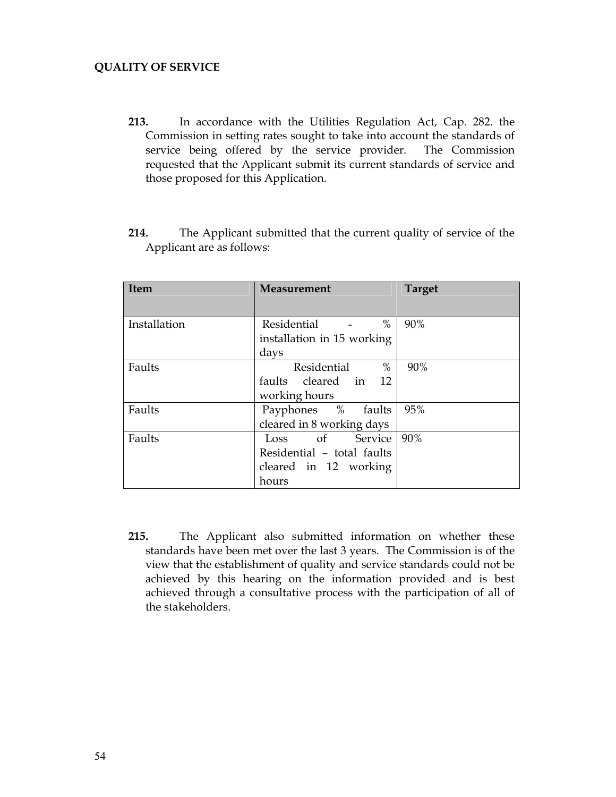### **QUALITY OF SERVICE**

- **213.** In accordance with the Utilities Regulation Act, Cap. 282. the Commission in setting rates sought to take into account the standards of service being offered by the service provider. The Commission requested that the Applicant submit its current standards of service and those proposed for this Application.
- **214.** The Applicant submitted that the current quality of service of the Applicant are as follows:

| <b>Item</b>  | <b>Measurement</b>         | <b>Target</b> |
|--------------|----------------------------|---------------|
|              |                            |               |
| Installation | $\%$<br>Residential        | 90%           |
|              | installation in 15 working |               |
|              | days                       |               |
| Faults       | Residential<br>%           | 90%           |
|              | faults cleared in 12       |               |
|              | working hours              |               |
| Faults       | Payphones % faults         | 95%           |
|              | cleared in 8 working days  |               |
| Faults       | Loss of Service            | 90%           |
|              | Residential - total faults |               |
|              | cleared in 12 working      |               |
|              | hours                      |               |

**215.** The Applicant also submitted information on whether these standards have been met over the last 3 years. The Commission is of the view that the establishment of quality and service standards could not be achieved by this hearing on the information provided and is best achieved through a consultative process with the participation of all of the stakeholders.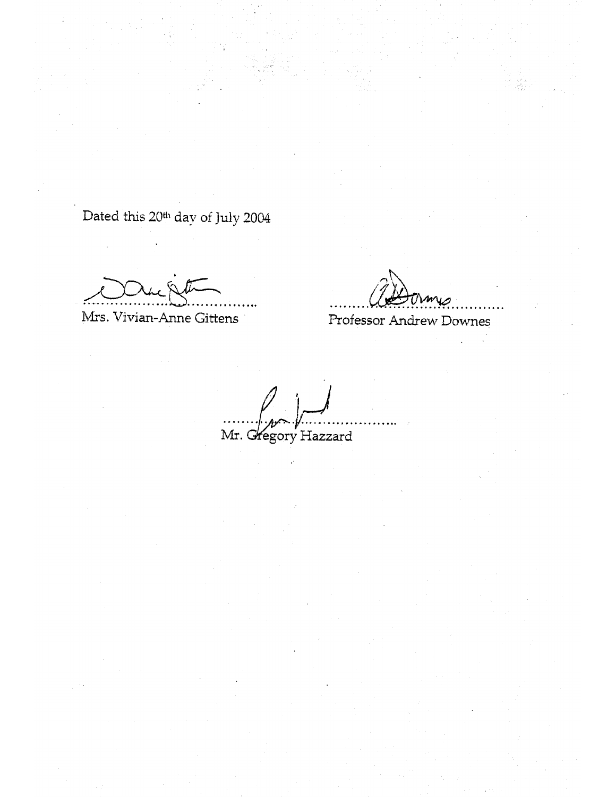Dated this 20<sup>th</sup> day of July 2004

Mrs. Vivian-Anne Gittens

Professor Andrew Downes

Mr. Gregory Hazzard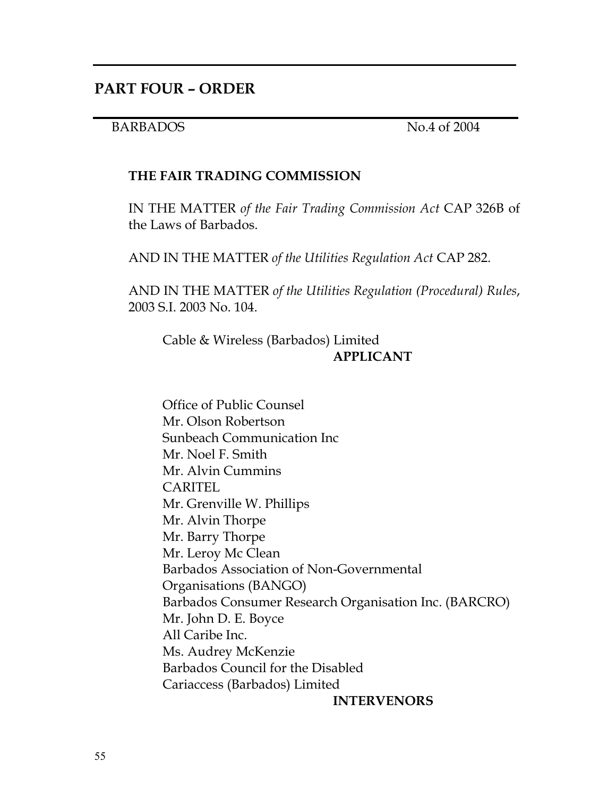## BARBADOS No.4 of 2004

## **THE FAIR TRADING COMMISSION**

IN THE MATTER *of the Fair Trading Commission Act* CAP 326B of the Laws of Barbados.

AND IN THE MATTER *of the Utilities Regulation Act* CAP 282.

AND IN THE MATTER *of the Utilities Regulation (Procedural) Rules*, 2003 S.I. 2003 No. 104.

Cable & Wireless (Barbados) Limited **APPLICANT**

Office of Public Counsel Mr. Olson Robertson Sunbeach Communication Inc Mr. Noel F. Smith Mr. Alvin Cummins CARITEL Mr. Grenville W. Phillips Mr. Alvin Thorpe Mr. Barry Thorpe Mr. Leroy Mc Clean Barbados Association of Non-Governmental Organisations (BANGO) Barbados Consumer Research Organisation Inc. (BARCRO) Mr. John D. E. Boyce All Caribe Inc. Ms. Audrey McKenzie Barbados Council for the Disabled Cariaccess (Barbados) Limited

 **INTERVENORS**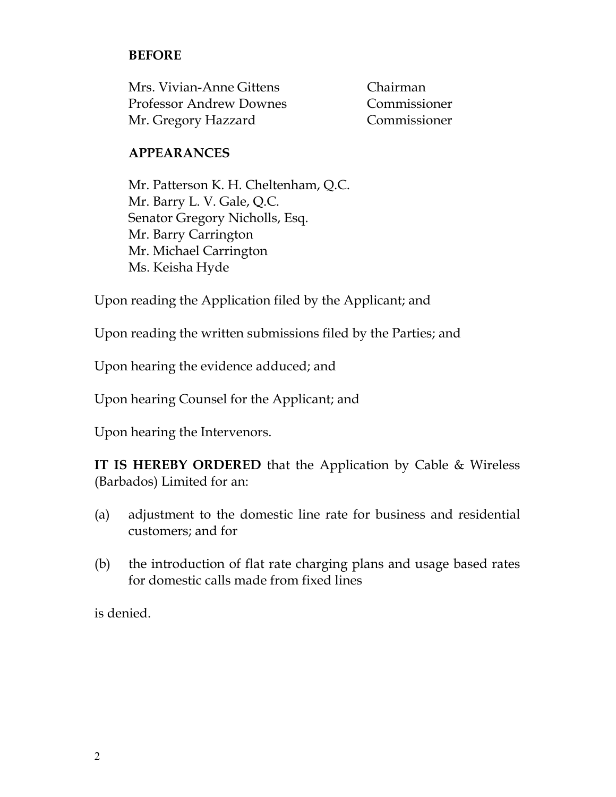## **BEFORE**

| Mrs. Vivian-Anne Gittens       | Chairman     |
|--------------------------------|--------------|
| <b>Professor Andrew Downes</b> | Commissioner |
| Mr. Gregory Hazzard            | Commissioner |

## **APPEARANCES**

Mr. Patterson K. H. Cheltenham, Q.C. Mr. Barry L. V. Gale, Q.C. Senator Gregory Nicholls, Esq. Mr. Barry Carrington Mr. Michael Carrington Ms. Keisha Hyde

Upon reading the Application filed by the Applicant; and

Upon reading the written submissions filed by the Parties; and

Upon hearing the evidence adduced; and

Upon hearing Counsel for the Applicant; and

Upon hearing the Intervenors.

**IT IS HEREBY ORDERED** that the Application by Cable & Wireless (Barbados) Limited for an:

- (a) adjustment to the domestic line rate for business and residential customers; and for
- (b) the introduction of flat rate charging plans and usage based rates for domestic calls made from fixed lines

is denied.